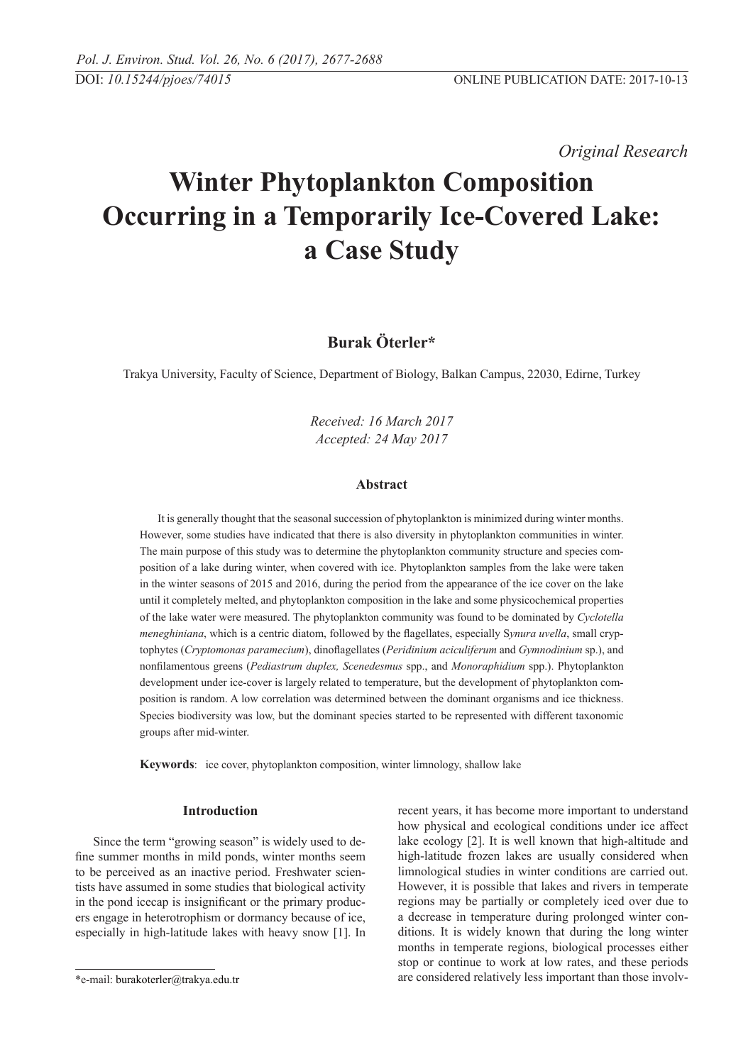*Original Research* 

# **Winter Phytoplankton Composition Occurring in a Temporarily Ice-Covered Lake: a Case Study**

# **Burak Öterler\***

Trakya University, Faculty of Science, Department of Biology, Balkan Campus, 22030, Edirne, Turkey

*Received: 16 March 2017 Accepted: 24 May 2017*

### **Abstract**

It is generally thought that the seasonal succession of phytoplankton is minimized during winter months. However, some studies have indicated that there is also diversity in phytoplankton communities in winter. The main purpose of this study was to determine the phytoplankton community structure and species composition of a lake during winter, when covered with ice. Phytoplankton samples from the lake were taken in the winter seasons of 2015 and 2016, during the period from the appearance of the ice cover on the lake until it completely melted, and phytoplankton composition in the lake and some physicochemical properties of the lake water were measured. The phytoplankton community was found to be dominated by *Cyclotella meneghiniana*, which is a centric diatom, followed by the flagellates, especially S*ynura uvella*, small cryptophytes (*Cryptomonas paramecium*), dinoflagellates (*Peridinium aciculiferum* and *Gymnodinium* sp.), and nonfilamentous greens (*Pediastrum duplex, Scenedesmus* spp., and *Monoraphidium* spp.). Phytoplankton development under ice-cover is largely related to temperature, but the development of phytoplankton composition is random. A low correlation was determined between the dominant organisms and ice thickness. Species biodiversity was low, but the dominant species started to be represented with different taxonomic groups after mid-winter.

**Keywords**: ice cover, phytoplankton composition, winter limnology, shallow lake

#### **Introduction**

Since the term "growing season" is widely used to define summer months in mild ponds, winter months seem to be perceived as an inactive period. Freshwater scientists have assumed in some studies that biological activity in the pond icecap is insignificant or the primary producers engage in heterotrophism or dormancy because of ice, especially in high-latitude lakes with heavy snow [1]. In recent years, it has become more important to understand how physical and ecological conditions under ice affect lake ecology [2]. It is well known that high-altitude and high-latitude frozen lakes are usually considered when limnological studies in winter conditions are carried out. However, it is possible that lakes and rivers in temperate regions may be partially or completely iced over due to a decrease in temperature during prolonged winter conditions. It is widely known that during the long winter months in temperate regions, biological processes either stop or continue to work at low rates, and these periods are considered relatively less important than those involv-

<sup>\*</sup>e-mail: burakoterler@trakya.edu.tr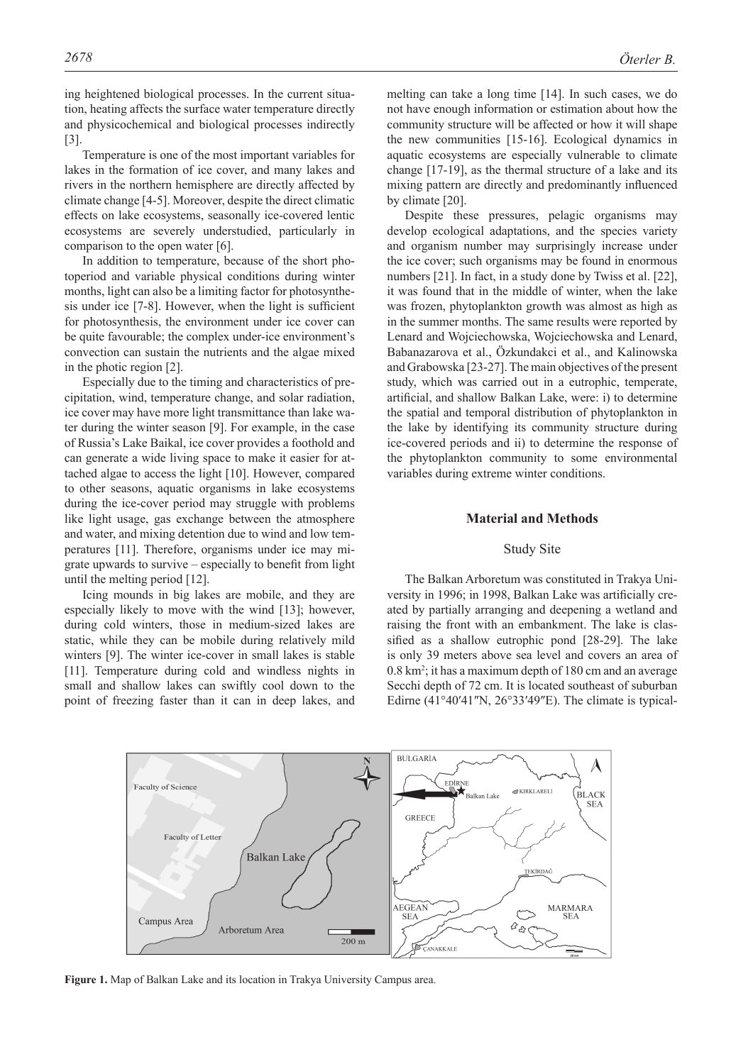ing heightened biological processes. In the current situation, heating affects the surface water temperature directly and physicochemical and biological processes indirectly [3].

Temperature is one of the most important variables for lakes in the formation of ice cover, and many lakes and rivers in the northern hemisphere are directly affected by climate change [4-5]. Moreover, despite the direct climatic effects on lake ecosystems, seasonally ice-covered lentic ecosystems are severely understudied, particularly in comparison to the open water [6].

In addition to temperature, because of the short photoperiod and variable physical conditions during winter months, light can also be a limiting factor for photosynthesis under ice [7-8]. However, when the light is sufficient for photosynthesis, the environment under ice cover can be quite favourable; the complex under-ice environment's convection can sustain the nutrients and the algae mixed in the photic region [2].

Especially due to the timing and characteristics of precipitation, wind, temperature change, and solar radiation, ice cover may have more light transmittance than lake water during the winter season [9]. For example, in the case of Russia's Lake Baikal, ice cover provides a foothold and can generate a wide living space to make it easier for attached algae to access the light [10]. However, compared to other seasons, aquatic organisms in lake ecosystems during the ice-cover period may struggle with problems like light usage, gas exchange between the atmosphere and water, and mixing detention due to wind and low temperatures [11]. Therefore, organisms under ice may migrate upwards to survive – especially to benefit from light until the melting period [12].

Icing mounds in big lakes are mobile, and they are especially likely to move with the wind [13]; however, during cold winters, those in medium-sized lakes are static, while they can be mobile during relatively mild winters [9]. The winter ice-cover in small lakes is stable [11]. Temperature during cold and windless nights in small and shallow lakes can swiftly cool down to the point of freezing faster than it can in deep lakes, and melting can take a long time [14]. In such cases, we do not have enough information or estimation about how the community structure will be affected or how it will shape the new communities [15-16]. Ecological dynamics in aquatic ecosystems are especially vulnerable to climate change [17-19], as the thermal structure of a lake and its mixing pattern are directly and predominantly influenced by climate [20].

Despite these pressures, pelagic organisms may develop ecological adaptations, and the species variety and organism number may surprisingly increase under the ice cover; such organisms may be found in enormous numbers [21]. In fact, in a study done by Twiss et al. [22], it was found that in the middle of winter, when the lake was frozen, phytoplankton growth was almost as high as in the summer months. The same results were reported by Lenard and Wojciechowska, Wojciechowska and Lenard, Babanazarova et al., Özkundakci et al., and Kalinowska and Grabowska [23-27]. The main objectives of the present study, which was carried out in a eutrophic, temperate, artificial, and shallow Balkan Lake, were: i) to determine the spatial and temporal distribution of phytoplankton in the lake by identifying its community structure during ice-covered periods and ii) to determine the response of the phytoplankton community to some environmental variables during extreme winter conditions.

#### **Material and Methods**

#### Study Site

The Balkan Arboretum was constituted in Trakya University in 1996; in 1998, Balkan Lake was artificially created by partially arranging and deepening a wetland and raising the front with an embankment. The lake is classified as a shallow eutrophic pond [28-29]. The lake is only 39 meters above sea level and covers an area of 0.8 km2 ; it has a maximum depth of 180 cm and an average Secchi depth of 72 cm. It is located southeast of suburban Edirne  $(41°40'41"N, 26°33'49"E)$ . The climate is typical-



**Figure 1.** Map of Balkan Lake and its location in Trakya University Campus area.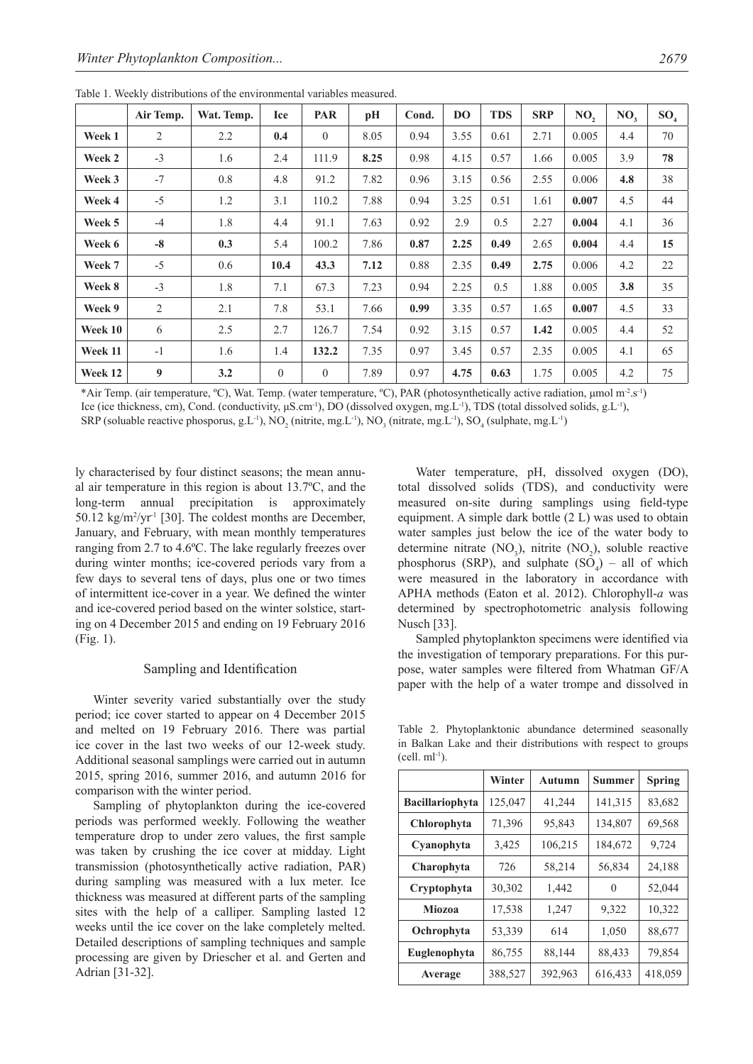|         | Air Temp.        | Wat. Temp. | Ice            | <b>PAR</b>     | pH   | Cond. | <b>DO</b> | <b>TDS</b> | <b>SRP</b> | NO,   | NO <sub>3</sub> | SO <sub>4</sub> |
|---------|------------------|------------|----------------|----------------|------|-------|-----------|------------|------------|-------|-----------------|-----------------|
| Week 1  | 2                | 2.2        | 0.4            | $\overline{0}$ | 8.05 | 0.94  | 3.55      | 0.61       | 2.71       | 0.005 | 4.4             | 70              |
| Week 2  | $-3$             | 1.6        | 2.4            | 111.9          | 8.25 | 0.98  | 4.15      | 0.57       | 1.66       | 0.005 | 3.9             | 78              |
| Week 3  | $-7$             | 0.8        | 4.8            | 91.2           | 7.82 | 0.96  | 3.15      | 0.56       | 2.55       | 0.006 | 4.8             | 38              |
| Week 4  | $-5$             | 1.2        | 3.1            | 110.2          | 7.88 | 0.94  | 3.25      | 0.51       | 1.61       | 0.007 | 4.5             | 44              |
| Week 5  | $-4$             | 1.8        | 4.4            | 91.1           | 7.63 | 0.92  | 2.9       | 0.5        | 2.27       | 0.004 | 4.1             | 36              |
| Week 6  | $-8$             | 0.3        | 5.4            | 100.2          | 7.86 | 0.87  | 2.25      | 0.49       | 2.65       | 0.004 | 4.4             | 15              |
| Week 7  | $-5$             | 0.6        | 10.4           | 43.3           | 7.12 | 0.88  | 2.35      | 0.49       | 2.75       | 0.006 | 4.2             | 22              |
| Week 8  | $-3$             | 1.8        | 7.1            | 67.3           | 7.23 | 0.94  | 2.25      | 0.5        | 1.88       | 0.005 | 3.8             | 35              |
| Week 9  | 2                | 2.1        | 7.8            | 53.1           | 7.66 | 0.99  | 3.35      | 0.57       | 1.65       | 0.007 | 4.5             | 33              |
| Week 10 | 6                | 2.5        | 2.7            | 126.7          | 7.54 | 0.92  | 3.15      | 0.57       | 1.42       | 0.005 | 4.4             | 52              |
| Week 11 | $-1$             | 1.6        | 1.4            | 132.2          | 7.35 | 0.97  | 3.45      | 0.57       | 2.35       | 0.005 | 4.1             | 65              |
| Week 12 | $\boldsymbol{9}$ | 3.2        | $\overline{0}$ | $\overline{0}$ | 7.89 | 0.97  | 4.75      | 0.63       | 1.75       | 0.005 | 4.2             | 75              |

Table 1. Weekly distributions of the environmental variables measured.

\*Air Temp. (air temperature, °C), Wat. Temp. (water temperature, °C), PAR (photosynthetically active radiation, µmol m<sup>-2</sup>.s<sup>-1</sup>) Ice (ice thickness, cm), Cond. (conductivity, μS.cm-1), DO (dissolved oxygen, mg.L-1), TDS (total dissolved solids, g.L-1),

SRP (soluable reactive phosporus, g.L<sup>-1</sup>), NO<sub>2</sub> (nitrite, mg.L<sup>-1</sup>), NO<sub>3</sub> (nitrate, mg.L<sup>-1</sup>), SO<sub>4</sub> (sulphate, mg.L<sup>-1</sup>)

ly characterised by four distinct seasons; the mean annual air temperature in this region is about 13.7ºC, and the long-term annual precipitation is approximately 50.12  $\text{kg/m²/yr²}$  [30]. The coldest months are December, January, and February, with mean monthly temperatures ranging from 2.7 to 4.6ºC. The lake regularly freezes over during winter months; ice-covered periods vary from a few days to several tens of days, plus one or two times of intermittent ice-cover in a year. We defined the winter and ice-covered period based on the winter solstice, starting on 4 December 2015 and ending on 19 February 2016 (Fig. 1).

#### Sampling and Identification

Winter severity varied substantially over the study period; ice cover started to appear on 4 December 2015 and melted on 19 February 2016. There was partial ice cover in the last two weeks of our 12-week study. Additional seasonal samplings were carried out in autumn 2015, spring 2016, summer 2016, and autumn 2016 for comparison with the winter period.

Sampling of phytoplankton during the ice-covered periods was performed weekly. Following the weather temperature drop to under zero values, the first sample was taken by crushing the ice cover at midday. Light transmission (photosynthetically active radiation, PAR) during sampling was measured with a lux meter. Ice thickness was measured at different parts of the sampling sites with the help of a calliper. Sampling lasted 12 weeks until the ice cover on the lake completely melted. Detailed descriptions of sampling techniques and sample processing are given by Driescher et al. and Gerten and Adrian [31-32].

Water temperature, pH, dissolved oxygen (DO), total dissolved solids (TDS), and conductivity were measured on-site during samplings using field-type equipment. A simple dark bottle (2 L) was used to obtain water samples just below the ice of the water body to determine nitrate  $(NO_3)$ , nitrite  $(NO_2)$ , soluble reactive phosphorus (SRP), and sulphate  $(SO_4)$  – all of which were measured in the laboratory in accordance with APHA methods (Eaton et al. 2012). Chlorophyll-*a* was determined by spectrophotometric analysis following Nusch [33].

Sampled phytoplankton specimens were identified via the investigation of temporary preparations. For this purpose, water samples were filtered from Whatman GF/A paper with the help of a water trompe and dissolved in

Table 2. Phytoplanktonic abundance determined seasonally in Balkan Lake and their distributions with respect to groups  $(cell. ml<sup>-1</sup>).$ 

|                        | Winter  | <b>Autumn</b> | Summer  | <b>Spring</b> |  |  |
|------------------------|---------|---------------|---------|---------------|--|--|
| <b>Bacillariophyta</b> | 125,047 | 41,244        | 141,315 | 83,682        |  |  |
| <b>Chlorophyta</b>     | 71,396  | 95,843        | 134,807 | 69,568        |  |  |
| Cyanophyta             | 3,425   | 106,215       | 184,672 | 9,724         |  |  |
| Charophyta             | 726     | 58,214        | 56,834  | 24,188        |  |  |
| Cryptophyta            | 30,302  | 1,442         | 0       | 52,044        |  |  |
| <b>Miozoa</b>          | 17,538  | 1,247         | 9,322   | 10,322        |  |  |
| Ochrophyta             | 53,339  | 614           | 1,050   | 88,677        |  |  |
| Euglenophyta           | 86,755  | 88,144        | 88,433  | 79,854        |  |  |
| Average                | 388,527 | 392,963       | 616,433 | 418,059       |  |  |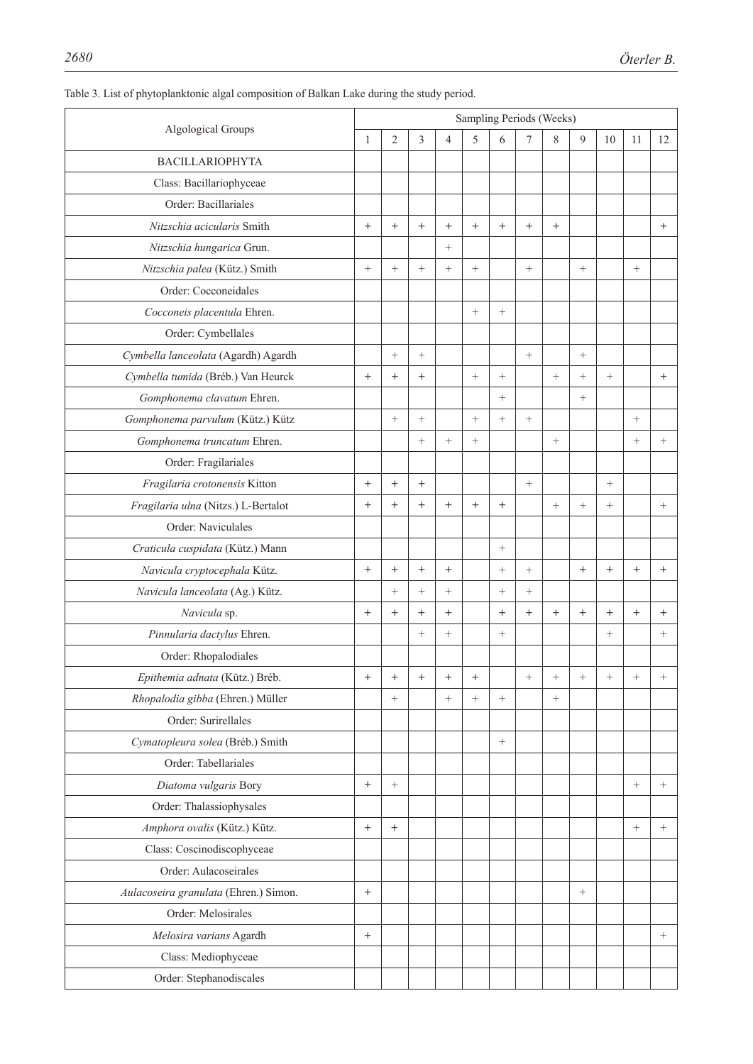| Algological Groups                    |        | Sampling Periods (Weeks) |        |                   |                  |        |        |                   |        |                 |        |                   |  |
|---------------------------------------|--------|--------------------------|--------|-------------------|------------------|--------|--------|-------------------|--------|-----------------|--------|-------------------|--|
|                                       |        | $\overline{c}$           | 3      | $\overline{4}$    | 5                | 6      | 7      | 8                 | 9      | 10              | 11     | 12                |  |
| <b>BACILLARIOPHYTA</b>                |        |                          |        |                   |                  |        |        |                   |        |                 |        |                   |  |
| Class: Bacillariophyceae              |        |                          |        |                   |                  |        |        |                   |        |                 |        |                   |  |
| Order: Bacillariales                  |        |                          |        |                   |                  |        |        |                   |        |                 |        |                   |  |
| Nitzschia acicularis Smith            | $^{+}$ | $^{+}$                   | $+$    | $^{+}$            | $^{+}$           | $+$    | $^{+}$ | $^{+}$            |        |                 |        | $+$               |  |
| Nitzschia hungarica Grun.             |        |                          |        | $\! + \!\!\!\!$   |                  |        |        |                   |        |                 |        |                   |  |
| Nitzschia palea (Kütz.) Smith         | $^{+}$ | $\! +$                   | $+$    | $+$               | $\! + \!\!\!\!$  |        | $+$    |                   | $\! +$ |                 | $^{+}$ |                   |  |
| Order: Cocconeidales                  |        |                          |        |                   |                  |        |        |                   |        |                 |        |                   |  |
| Cocconeis placentula Ehren.           |        |                          |        |                   | $\boldsymbol{+}$ | $^{+}$ |        |                   |        |                 |        |                   |  |
| Order: Cymbellales                    |        |                          |        |                   |                  |        |        |                   |        |                 |        |                   |  |
| Cymbella lanceolata (Agardh) Agardh   |        | $^{+}$                   | $^{+}$ |                   |                  |        | $+$    |                   |        |                 |        |                   |  |
| Cymbella tumida (Bréb.) Van Heurck    | $^{+}$ | $^{+}$                   | $^{+}$ |                   | $\boldsymbol{+}$ | $^{+}$ |        | $\qquad \qquad +$ | $^{+}$ | $+$             |        | $^{+}$            |  |
| Gomphonema clavatum Ehren.            |        |                          |        |                   |                  | $^{+}$ |        |                   | $^{+}$ |                 |        |                   |  |
| Gomphonema parvulum (Kütz.) Kütz      |        | $^{+}$                   | $+$    |                   | $^{+}$           | $+$    | $+$    |                   |        |                 | $^{+}$ |                   |  |
| Gomphonema truncatum Ehren.           |        |                          | $^{+}$ | $+$               | $^{+}$           |        |        | $^{+}$            |        |                 | $^{+}$ | $\! + \!\!\!\!$   |  |
| Order: Fragilariales                  |        |                          |        |                   |                  |        |        |                   |        |                 |        |                   |  |
| Fragilaria crotonensis Kitton         | $^{+}$ | $^{+}$                   | $^{+}$ |                   |                  |        | $+$    |                   |        | $^{+}$          |        |                   |  |
| Fragilaria ulna (Nitzs.) L-Bertalot   | $^{+}$ | $^{+}$                   | $+$    | $^{+}$            | $^{+}$           | $^{+}$ |        | $\! + \!\!\!\!$   | $^{+}$ | $^{+}$          |        | $\qquad \qquad +$ |  |
| Order: Naviculales                    |        |                          |        |                   |                  |        |        |                   |        |                 |        |                   |  |
| Craticula cuspidata (Kütz.) Mann      |        |                          |        |                   |                  |        |        |                   |        |                 |        |                   |  |
| Navicula cryptocephala Kütz.          | $+$    | $^{+}$                   | $+$    | $^{+}$            |                  | $+$    | $^{+}$ |                   | $^{+}$ | $^{+}$          | $^{+}$ | $^{+}$            |  |
| Navicula lanceolata (Ag.) Kütz.       |        | $^{+}$                   | $+$    | $+$               |                  | $+$    | $^{+}$ |                   |        |                 |        |                   |  |
| Navicula sp.                          | $^{+}$ | $^{+}$                   | $^{+}$ | $^{+}$            |                  | $^{+}$ | $^{+}$ | $^{+}$            | $^{+}$ | $^{+}$          | $^{+}$ | $^{+}$            |  |
| Pinnularia dactylus Ehren.            |        |                          | $^{+}$ | $\! + \!\!\!\!$   |                  | $+$    |        |                   |        | $\! + \!\!\!\!$ |        | $\qquad \qquad +$ |  |
| Order: Rhopalodiales                  |        |                          |        |                   |                  |        |        |                   |        |                 |        |                   |  |
| Epithemia adnata (Kütz.) Bréb.        | $^{+}$ | $^{+}$                   | $^{+}$ | $^{+}$            | $^{+}$           |        |        | $^{+}$            | $^+$   | $^{+}$          | $^{+}$ | $^{+}$            |  |
| Rhopalodia gibba (Ehren.) Müller      |        | $^{+}$                   |        | $\qquad \qquad +$ |                  |        |        | $\qquad \qquad +$ |        |                 |        |                   |  |
| Order: Surirellales                   |        |                          |        |                   |                  |        |        |                   |        |                 |        |                   |  |
| Cymatopleura solea (Bréb.) Smith      |        |                          |        |                   |                  |        |        |                   |        |                 |        |                   |  |
| Order: Tabellariales                  |        |                          |        |                   |                  |        |        |                   |        |                 |        |                   |  |
| Diatoma vulgaris Bory                 | $^{+}$ | $^{+}$                   |        |                   |                  |        |        |                   |        |                 | $^{+}$ | $^{+}$            |  |
| Order: Thalassiophysales              |        |                          |        |                   |                  |        |        |                   |        |                 |        |                   |  |
| Amphora ovalis (Kütz.) Kütz.          | $+$    | $^{+}$                   |        |                   |                  |        |        |                   |        |                 | $^{+}$ | $^{+}$            |  |
| Class: Coscinodiscophyceae            |        |                          |        |                   |                  |        |        |                   |        |                 |        |                   |  |
| Order: Aulacoseirales                 |        |                          |        |                   |                  |        |        |                   |        |                 |        |                   |  |
| Aulacoseira granulata (Ehren.) Simon. | $^{+}$ |                          |        |                   |                  |        |        |                   | $+$    |                 |        |                   |  |
| Order: Melosirales                    |        |                          |        |                   |                  |        |        |                   |        |                 |        |                   |  |
| Melosira varians Agardh               | $^{+}$ |                          |        |                   |                  |        |        |                   |        |                 |        | $^{+}$            |  |
| Class: Mediophyceae                   |        |                          |        |                   |                  |        |        |                   |        |                 |        |                   |  |
| Order: Stephanodiscales               |        |                          |        |                   |                  |        |        |                   |        |                 |        |                   |  |
|                                       |        |                          |        |                   |                  |        |        |                   |        |                 |        |                   |  |

# Table 3. List of phytoplanktonic algal composition of Balkan Lake during the study period.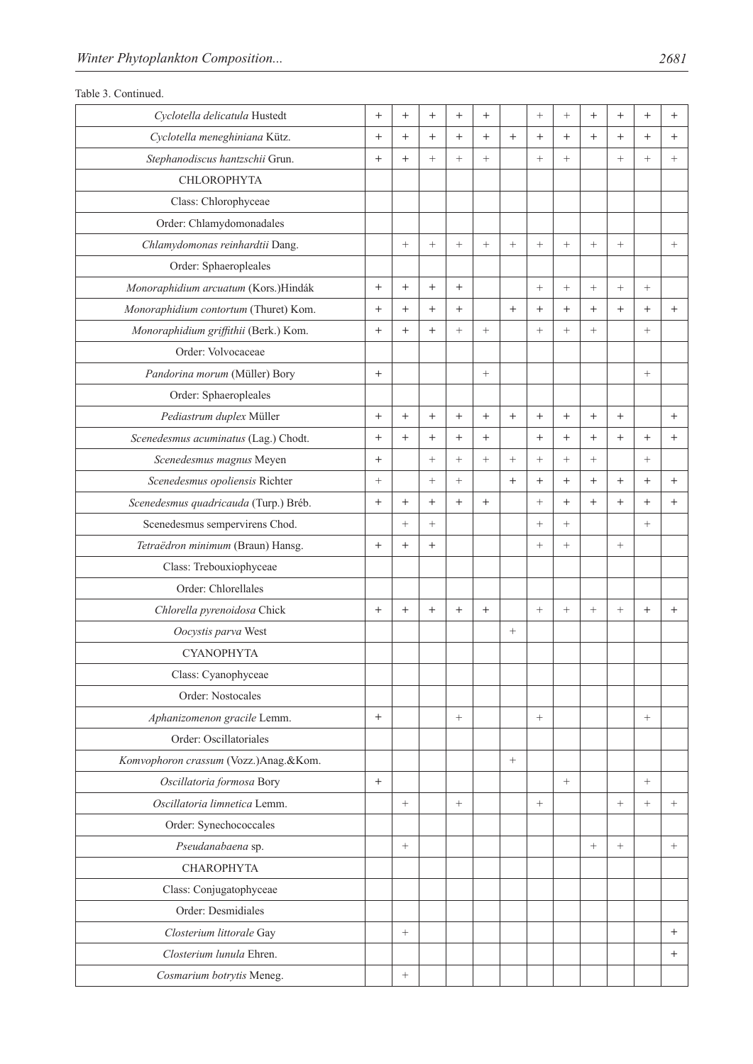|  | Table 3. Continued. |
|--|---------------------|
|--|---------------------|

| Cyclotella delicatula Hustedt<br>$+$<br>$^{+}$<br>$^{+}$<br>$^{+}$<br>$^{+}$<br>$^{+}$<br>$^{+}$<br>$^{+}$<br>$^{+}$<br>$^{+}$<br>$^+$<br>Cyclotella meneghiniana Kütz.<br>$+$<br>$+$<br>$^{+}$<br>$+$<br>$^{+}$<br>$^{+}$<br>$^{+}$<br>$^{+}$<br>$^{+}$<br>$^{+}$<br>$+$<br>$^{+}$<br>Stephanodiscus hantzschii Grun.<br>$+$<br>$+$<br>$^{+}$<br>$^{+}$<br>$+$<br>$+$<br>$^{+}$<br>$^{+}$<br>$+$<br>$^{+}$<br><b>CHLOROPHYTA</b><br>Class: Chlorophyceae<br>Order: Chlamydomonadales<br>Chlamydomonas reinhardtii Dang.<br>$^{+}$<br>$^{+}$<br>$+$<br>$^{+}$<br>$^{+}$<br>$^{+}$<br>$^{+}$<br>$\! + \!\!\!\!$<br>$^{+}$<br>Order: Sphaeropleales<br>Monoraphidium arcuatum (Kors.)Hindák<br>$+$<br>$+$<br>$+$<br>$+$<br>$^{+}$<br>$^{+}$<br>$^{+}$<br>$^{+}$<br>$^{+}$<br>Monoraphidium contortum (Thuret) Kom.<br>$^{+}$<br>$+$<br>$^{+}$<br>$^{+}$<br>$+$<br>$+$<br>$^{+}$<br>$^{+}$<br>$^{+}$<br>$^{+}$<br>$^{+}$<br>Monoraphidium griffithii (Berk.) Kom.<br>$^{+}$<br>$\boldsymbol{+}$<br>$+$<br>$^{+}$<br>$^{+}$<br>$^{+}$<br>$^{+}$<br>$^{+}$<br>Order: Volvocaceae<br>Pandorina morum (Müller) Bory<br>$^{+}$<br>$\qquad \qquad +$<br>Order: Sphaeropleales<br>Pediastrum duplex Müller<br>$+$<br>$+$<br>$+$<br>$+$<br>$^{+}$<br>$+$<br>$^{+}$<br>$^{+}$<br>$^{+}$<br>$^{+}$<br>$+$<br>Scenedesmus acuminatus (Lag.) Chodt.<br>$^{+}$<br>$^{+}$<br>$^{+}$<br>$+$<br>$^{+}$<br>$+$<br>$^{+}$<br>$^{+}$<br>$^{+}$<br>$+$<br>$^{+}$<br>Scenedesmus magnus Meyen<br>$^{+}$<br>$^{+}$<br>$\! + \!\!\!\!$<br>$^{+}$<br>$^{+}$<br>$^{+}$<br>$^{+}$<br>$^{+}$<br>$^{+}$<br>Scenedesmus opoliensis Richter<br>$^{+}$<br>$+$<br>$+$<br>$^{+}$<br>$+$<br>$^{+}$<br>$^{+}$<br>$^{+}$<br>$^{+}$<br>$^{+}$<br>Scenedesmus quadricauda (Turp.) Bréb.<br>$+$<br>$+$<br>$^{+}$<br>$^{+}$<br>$^{+}$<br>$^{+}$<br>$+$<br>$^{+}$<br>$^{+}$<br>$^{+}$<br>$^{+}$<br>Scenedesmus sempervirens Chod.<br>$^{+}$<br>$^{+}$<br>$^{+}$<br>$^{+}$<br>$^{+}$<br>Tetraëdron minimum (Braun) Hansg.<br>$^{+}$<br>$^{+}$<br>$+$<br>$^{+}$<br>$^{+}$<br>$^{+}$<br>Class: Trebouxiophyceae<br>Order: Chlorellales<br>Chlorella pyrenoidosa Chick<br>$^{+}$<br>$+$<br>$^{+}$<br>$^{+}$<br>$^{+}$<br>$^{+}$<br>$^{+}$<br>$^{+}$<br>$^{+}$<br>$^{+}$<br>$^{+}$<br>Oocystis parva West<br>$\boldsymbol{+}$<br><b>CYANOPHYTA</b><br>Class: Cyanophyceae<br>Order: Nostocales<br>Aphanizomenon gracile Lemm.<br>$^{+}$<br>$^{+}$<br>Order: Oscillatoriales<br>Komvophoron crassum (Vozz.)Anag.&Kom.<br>$\boldsymbol{+}$<br>Oscillatoria formosa Bory<br>$^{+}$<br>$^{+}$<br>$^{+}$<br>Oscillatoria limnetica Lemm.<br>$\! + \!\!\!\!$<br>$+$<br>$+$<br>$^{+}$<br>$^{+}$<br>$+$<br>Order: Synechococcales<br>Pseudanabaena sp.<br>$\! + \!\!\!\!$<br>$+$<br>$\! + \!\!\!\!$<br>$\! + \!\!\!\!$<br><b>CHAROPHYTA</b><br>Class: Conjugatophyceae<br>Order: Desmidiales<br>Closterium littorale Gay<br>$\qquad \qquad +$<br>$^{+}$<br>Closterium lunula Ehren.<br>$^{+}$<br>Cosmarium botrytis Meneg.<br>$\! + \!\!\!\!$ |  |  |  |  |  |  |  |
|--------------------------------------------------------------------------------------------------------------------------------------------------------------------------------------------------------------------------------------------------------------------------------------------------------------------------------------------------------------------------------------------------------------------------------------------------------------------------------------------------------------------------------------------------------------------------------------------------------------------------------------------------------------------------------------------------------------------------------------------------------------------------------------------------------------------------------------------------------------------------------------------------------------------------------------------------------------------------------------------------------------------------------------------------------------------------------------------------------------------------------------------------------------------------------------------------------------------------------------------------------------------------------------------------------------------------------------------------------------------------------------------------------------------------------------------------------------------------------------------------------------------------------------------------------------------------------------------------------------------------------------------------------------------------------------------------------------------------------------------------------------------------------------------------------------------------------------------------------------------------------------------------------------------------------------------------------------------------------------------------------------------------------------------------------------------------------------------------------------------------------------------------------------------------------------------------------------------------------------------------------------------------------------------------------------------------------------------------------------------------------------------------------------------------------------------------------------------------------------------------------------------------------------------------------------------------------------------------------------------------------------------------------------------------------------------------------------------------------------------------------------------------------------------------------------------------------------------------------------------------------------------------------------------------------------------------------------------------------------|--|--|--|--|--|--|--|
|                                                                                                                                                                                                                                                                                                                                                                                                                                                                                                                                                                                                                                                                                                                                                                                                                                                                                                                                                                                                                                                                                                                                                                                                                                                                                                                                                                                                                                                                                                                                                                                                                                                                                                                                                                                                                                                                                                                                                                                                                                                                                                                                                                                                                                                                                                                                                                                                                                                                                                                                                                                                                                                                                                                                                                                                                                                                                                                                                                                      |  |  |  |  |  |  |  |
|                                                                                                                                                                                                                                                                                                                                                                                                                                                                                                                                                                                                                                                                                                                                                                                                                                                                                                                                                                                                                                                                                                                                                                                                                                                                                                                                                                                                                                                                                                                                                                                                                                                                                                                                                                                                                                                                                                                                                                                                                                                                                                                                                                                                                                                                                                                                                                                                                                                                                                                                                                                                                                                                                                                                                                                                                                                                                                                                                                                      |  |  |  |  |  |  |  |
|                                                                                                                                                                                                                                                                                                                                                                                                                                                                                                                                                                                                                                                                                                                                                                                                                                                                                                                                                                                                                                                                                                                                                                                                                                                                                                                                                                                                                                                                                                                                                                                                                                                                                                                                                                                                                                                                                                                                                                                                                                                                                                                                                                                                                                                                                                                                                                                                                                                                                                                                                                                                                                                                                                                                                                                                                                                                                                                                                                                      |  |  |  |  |  |  |  |
|                                                                                                                                                                                                                                                                                                                                                                                                                                                                                                                                                                                                                                                                                                                                                                                                                                                                                                                                                                                                                                                                                                                                                                                                                                                                                                                                                                                                                                                                                                                                                                                                                                                                                                                                                                                                                                                                                                                                                                                                                                                                                                                                                                                                                                                                                                                                                                                                                                                                                                                                                                                                                                                                                                                                                                                                                                                                                                                                                                                      |  |  |  |  |  |  |  |
|                                                                                                                                                                                                                                                                                                                                                                                                                                                                                                                                                                                                                                                                                                                                                                                                                                                                                                                                                                                                                                                                                                                                                                                                                                                                                                                                                                                                                                                                                                                                                                                                                                                                                                                                                                                                                                                                                                                                                                                                                                                                                                                                                                                                                                                                                                                                                                                                                                                                                                                                                                                                                                                                                                                                                                                                                                                                                                                                                                                      |  |  |  |  |  |  |  |
|                                                                                                                                                                                                                                                                                                                                                                                                                                                                                                                                                                                                                                                                                                                                                                                                                                                                                                                                                                                                                                                                                                                                                                                                                                                                                                                                                                                                                                                                                                                                                                                                                                                                                                                                                                                                                                                                                                                                                                                                                                                                                                                                                                                                                                                                                                                                                                                                                                                                                                                                                                                                                                                                                                                                                                                                                                                                                                                                                                                      |  |  |  |  |  |  |  |
|                                                                                                                                                                                                                                                                                                                                                                                                                                                                                                                                                                                                                                                                                                                                                                                                                                                                                                                                                                                                                                                                                                                                                                                                                                                                                                                                                                                                                                                                                                                                                                                                                                                                                                                                                                                                                                                                                                                                                                                                                                                                                                                                                                                                                                                                                                                                                                                                                                                                                                                                                                                                                                                                                                                                                                                                                                                                                                                                                                                      |  |  |  |  |  |  |  |
|                                                                                                                                                                                                                                                                                                                                                                                                                                                                                                                                                                                                                                                                                                                                                                                                                                                                                                                                                                                                                                                                                                                                                                                                                                                                                                                                                                                                                                                                                                                                                                                                                                                                                                                                                                                                                                                                                                                                                                                                                                                                                                                                                                                                                                                                                                                                                                                                                                                                                                                                                                                                                                                                                                                                                                                                                                                                                                                                                                                      |  |  |  |  |  |  |  |
|                                                                                                                                                                                                                                                                                                                                                                                                                                                                                                                                                                                                                                                                                                                                                                                                                                                                                                                                                                                                                                                                                                                                                                                                                                                                                                                                                                                                                                                                                                                                                                                                                                                                                                                                                                                                                                                                                                                                                                                                                                                                                                                                                                                                                                                                                                                                                                                                                                                                                                                                                                                                                                                                                                                                                                                                                                                                                                                                                                                      |  |  |  |  |  |  |  |
|                                                                                                                                                                                                                                                                                                                                                                                                                                                                                                                                                                                                                                                                                                                                                                                                                                                                                                                                                                                                                                                                                                                                                                                                                                                                                                                                                                                                                                                                                                                                                                                                                                                                                                                                                                                                                                                                                                                                                                                                                                                                                                                                                                                                                                                                                                                                                                                                                                                                                                                                                                                                                                                                                                                                                                                                                                                                                                                                                                                      |  |  |  |  |  |  |  |
|                                                                                                                                                                                                                                                                                                                                                                                                                                                                                                                                                                                                                                                                                                                                                                                                                                                                                                                                                                                                                                                                                                                                                                                                                                                                                                                                                                                                                                                                                                                                                                                                                                                                                                                                                                                                                                                                                                                                                                                                                                                                                                                                                                                                                                                                                                                                                                                                                                                                                                                                                                                                                                                                                                                                                                                                                                                                                                                                                                                      |  |  |  |  |  |  |  |
|                                                                                                                                                                                                                                                                                                                                                                                                                                                                                                                                                                                                                                                                                                                                                                                                                                                                                                                                                                                                                                                                                                                                                                                                                                                                                                                                                                                                                                                                                                                                                                                                                                                                                                                                                                                                                                                                                                                                                                                                                                                                                                                                                                                                                                                                                                                                                                                                                                                                                                                                                                                                                                                                                                                                                                                                                                                                                                                                                                                      |  |  |  |  |  |  |  |
|                                                                                                                                                                                                                                                                                                                                                                                                                                                                                                                                                                                                                                                                                                                                                                                                                                                                                                                                                                                                                                                                                                                                                                                                                                                                                                                                                                                                                                                                                                                                                                                                                                                                                                                                                                                                                                                                                                                                                                                                                                                                                                                                                                                                                                                                                                                                                                                                                                                                                                                                                                                                                                                                                                                                                                                                                                                                                                                                                                                      |  |  |  |  |  |  |  |
|                                                                                                                                                                                                                                                                                                                                                                                                                                                                                                                                                                                                                                                                                                                                                                                                                                                                                                                                                                                                                                                                                                                                                                                                                                                                                                                                                                                                                                                                                                                                                                                                                                                                                                                                                                                                                                                                                                                                                                                                                                                                                                                                                                                                                                                                                                                                                                                                                                                                                                                                                                                                                                                                                                                                                                                                                                                                                                                                                                                      |  |  |  |  |  |  |  |
|                                                                                                                                                                                                                                                                                                                                                                                                                                                                                                                                                                                                                                                                                                                                                                                                                                                                                                                                                                                                                                                                                                                                                                                                                                                                                                                                                                                                                                                                                                                                                                                                                                                                                                                                                                                                                                                                                                                                                                                                                                                                                                                                                                                                                                                                                                                                                                                                                                                                                                                                                                                                                                                                                                                                                                                                                                                                                                                                                                                      |  |  |  |  |  |  |  |
|                                                                                                                                                                                                                                                                                                                                                                                                                                                                                                                                                                                                                                                                                                                                                                                                                                                                                                                                                                                                                                                                                                                                                                                                                                                                                                                                                                                                                                                                                                                                                                                                                                                                                                                                                                                                                                                                                                                                                                                                                                                                                                                                                                                                                                                                                                                                                                                                                                                                                                                                                                                                                                                                                                                                                                                                                                                                                                                                                                                      |  |  |  |  |  |  |  |
|                                                                                                                                                                                                                                                                                                                                                                                                                                                                                                                                                                                                                                                                                                                                                                                                                                                                                                                                                                                                                                                                                                                                                                                                                                                                                                                                                                                                                                                                                                                                                                                                                                                                                                                                                                                                                                                                                                                                                                                                                                                                                                                                                                                                                                                                                                                                                                                                                                                                                                                                                                                                                                                                                                                                                                                                                                                                                                                                                                                      |  |  |  |  |  |  |  |
|                                                                                                                                                                                                                                                                                                                                                                                                                                                                                                                                                                                                                                                                                                                                                                                                                                                                                                                                                                                                                                                                                                                                                                                                                                                                                                                                                                                                                                                                                                                                                                                                                                                                                                                                                                                                                                                                                                                                                                                                                                                                                                                                                                                                                                                                                                                                                                                                                                                                                                                                                                                                                                                                                                                                                                                                                                                                                                                                                                                      |  |  |  |  |  |  |  |
|                                                                                                                                                                                                                                                                                                                                                                                                                                                                                                                                                                                                                                                                                                                                                                                                                                                                                                                                                                                                                                                                                                                                                                                                                                                                                                                                                                                                                                                                                                                                                                                                                                                                                                                                                                                                                                                                                                                                                                                                                                                                                                                                                                                                                                                                                                                                                                                                                                                                                                                                                                                                                                                                                                                                                                                                                                                                                                                                                                                      |  |  |  |  |  |  |  |
|                                                                                                                                                                                                                                                                                                                                                                                                                                                                                                                                                                                                                                                                                                                                                                                                                                                                                                                                                                                                                                                                                                                                                                                                                                                                                                                                                                                                                                                                                                                                                                                                                                                                                                                                                                                                                                                                                                                                                                                                                                                                                                                                                                                                                                                                                                                                                                                                                                                                                                                                                                                                                                                                                                                                                                                                                                                                                                                                                                                      |  |  |  |  |  |  |  |
|                                                                                                                                                                                                                                                                                                                                                                                                                                                                                                                                                                                                                                                                                                                                                                                                                                                                                                                                                                                                                                                                                                                                                                                                                                                                                                                                                                                                                                                                                                                                                                                                                                                                                                                                                                                                                                                                                                                                                                                                                                                                                                                                                                                                                                                                                                                                                                                                                                                                                                                                                                                                                                                                                                                                                                                                                                                                                                                                                                                      |  |  |  |  |  |  |  |
|                                                                                                                                                                                                                                                                                                                                                                                                                                                                                                                                                                                                                                                                                                                                                                                                                                                                                                                                                                                                                                                                                                                                                                                                                                                                                                                                                                                                                                                                                                                                                                                                                                                                                                                                                                                                                                                                                                                                                                                                                                                                                                                                                                                                                                                                                                                                                                                                                                                                                                                                                                                                                                                                                                                                                                                                                                                                                                                                                                                      |  |  |  |  |  |  |  |
|                                                                                                                                                                                                                                                                                                                                                                                                                                                                                                                                                                                                                                                                                                                                                                                                                                                                                                                                                                                                                                                                                                                                                                                                                                                                                                                                                                                                                                                                                                                                                                                                                                                                                                                                                                                                                                                                                                                                                                                                                                                                                                                                                                                                                                                                                                                                                                                                                                                                                                                                                                                                                                                                                                                                                                                                                                                                                                                                                                                      |  |  |  |  |  |  |  |
|                                                                                                                                                                                                                                                                                                                                                                                                                                                                                                                                                                                                                                                                                                                                                                                                                                                                                                                                                                                                                                                                                                                                                                                                                                                                                                                                                                                                                                                                                                                                                                                                                                                                                                                                                                                                                                                                                                                                                                                                                                                                                                                                                                                                                                                                                                                                                                                                                                                                                                                                                                                                                                                                                                                                                                                                                                                                                                                                                                                      |  |  |  |  |  |  |  |
|                                                                                                                                                                                                                                                                                                                                                                                                                                                                                                                                                                                                                                                                                                                                                                                                                                                                                                                                                                                                                                                                                                                                                                                                                                                                                                                                                                                                                                                                                                                                                                                                                                                                                                                                                                                                                                                                                                                                                                                                                                                                                                                                                                                                                                                                                                                                                                                                                                                                                                                                                                                                                                                                                                                                                                                                                                                                                                                                                                                      |  |  |  |  |  |  |  |
|                                                                                                                                                                                                                                                                                                                                                                                                                                                                                                                                                                                                                                                                                                                                                                                                                                                                                                                                                                                                                                                                                                                                                                                                                                                                                                                                                                                                                                                                                                                                                                                                                                                                                                                                                                                                                                                                                                                                                                                                                                                                                                                                                                                                                                                                                                                                                                                                                                                                                                                                                                                                                                                                                                                                                                                                                                                                                                                                                                                      |  |  |  |  |  |  |  |
|                                                                                                                                                                                                                                                                                                                                                                                                                                                                                                                                                                                                                                                                                                                                                                                                                                                                                                                                                                                                                                                                                                                                                                                                                                                                                                                                                                                                                                                                                                                                                                                                                                                                                                                                                                                                                                                                                                                                                                                                                                                                                                                                                                                                                                                                                                                                                                                                                                                                                                                                                                                                                                                                                                                                                                                                                                                                                                                                                                                      |  |  |  |  |  |  |  |
|                                                                                                                                                                                                                                                                                                                                                                                                                                                                                                                                                                                                                                                                                                                                                                                                                                                                                                                                                                                                                                                                                                                                                                                                                                                                                                                                                                                                                                                                                                                                                                                                                                                                                                                                                                                                                                                                                                                                                                                                                                                                                                                                                                                                                                                                                                                                                                                                                                                                                                                                                                                                                                                                                                                                                                                                                                                                                                                                                                                      |  |  |  |  |  |  |  |
|                                                                                                                                                                                                                                                                                                                                                                                                                                                                                                                                                                                                                                                                                                                                                                                                                                                                                                                                                                                                                                                                                                                                                                                                                                                                                                                                                                                                                                                                                                                                                                                                                                                                                                                                                                                                                                                                                                                                                                                                                                                                                                                                                                                                                                                                                                                                                                                                                                                                                                                                                                                                                                                                                                                                                                                                                                                                                                                                                                                      |  |  |  |  |  |  |  |
|                                                                                                                                                                                                                                                                                                                                                                                                                                                                                                                                                                                                                                                                                                                                                                                                                                                                                                                                                                                                                                                                                                                                                                                                                                                                                                                                                                                                                                                                                                                                                                                                                                                                                                                                                                                                                                                                                                                                                                                                                                                                                                                                                                                                                                                                                                                                                                                                                                                                                                                                                                                                                                                                                                                                                                                                                                                                                                                                                                                      |  |  |  |  |  |  |  |
|                                                                                                                                                                                                                                                                                                                                                                                                                                                                                                                                                                                                                                                                                                                                                                                                                                                                                                                                                                                                                                                                                                                                                                                                                                                                                                                                                                                                                                                                                                                                                                                                                                                                                                                                                                                                                                                                                                                                                                                                                                                                                                                                                                                                                                                                                                                                                                                                                                                                                                                                                                                                                                                                                                                                                                                                                                                                                                                                                                                      |  |  |  |  |  |  |  |
|                                                                                                                                                                                                                                                                                                                                                                                                                                                                                                                                                                                                                                                                                                                                                                                                                                                                                                                                                                                                                                                                                                                                                                                                                                                                                                                                                                                                                                                                                                                                                                                                                                                                                                                                                                                                                                                                                                                                                                                                                                                                                                                                                                                                                                                                                                                                                                                                                                                                                                                                                                                                                                                                                                                                                                                                                                                                                                                                                                                      |  |  |  |  |  |  |  |
|                                                                                                                                                                                                                                                                                                                                                                                                                                                                                                                                                                                                                                                                                                                                                                                                                                                                                                                                                                                                                                                                                                                                                                                                                                                                                                                                                                                                                                                                                                                                                                                                                                                                                                                                                                                                                                                                                                                                                                                                                                                                                                                                                                                                                                                                                                                                                                                                                                                                                                                                                                                                                                                                                                                                                                                                                                                                                                                                                                                      |  |  |  |  |  |  |  |
|                                                                                                                                                                                                                                                                                                                                                                                                                                                                                                                                                                                                                                                                                                                                                                                                                                                                                                                                                                                                                                                                                                                                                                                                                                                                                                                                                                                                                                                                                                                                                                                                                                                                                                                                                                                                                                                                                                                                                                                                                                                                                                                                                                                                                                                                                                                                                                                                                                                                                                                                                                                                                                                                                                                                                                                                                                                                                                                                                                                      |  |  |  |  |  |  |  |
|                                                                                                                                                                                                                                                                                                                                                                                                                                                                                                                                                                                                                                                                                                                                                                                                                                                                                                                                                                                                                                                                                                                                                                                                                                                                                                                                                                                                                                                                                                                                                                                                                                                                                                                                                                                                                                                                                                                                                                                                                                                                                                                                                                                                                                                                                                                                                                                                                                                                                                                                                                                                                                                                                                                                                                                                                                                                                                                                                                                      |  |  |  |  |  |  |  |
|                                                                                                                                                                                                                                                                                                                                                                                                                                                                                                                                                                                                                                                                                                                                                                                                                                                                                                                                                                                                                                                                                                                                                                                                                                                                                                                                                                                                                                                                                                                                                                                                                                                                                                                                                                                                                                                                                                                                                                                                                                                                                                                                                                                                                                                                                                                                                                                                                                                                                                                                                                                                                                                                                                                                                                                                                                                                                                                                                                                      |  |  |  |  |  |  |  |
|                                                                                                                                                                                                                                                                                                                                                                                                                                                                                                                                                                                                                                                                                                                                                                                                                                                                                                                                                                                                                                                                                                                                                                                                                                                                                                                                                                                                                                                                                                                                                                                                                                                                                                                                                                                                                                                                                                                                                                                                                                                                                                                                                                                                                                                                                                                                                                                                                                                                                                                                                                                                                                                                                                                                                                                                                                                                                                                                                                                      |  |  |  |  |  |  |  |
|                                                                                                                                                                                                                                                                                                                                                                                                                                                                                                                                                                                                                                                                                                                                                                                                                                                                                                                                                                                                                                                                                                                                                                                                                                                                                                                                                                                                                                                                                                                                                                                                                                                                                                                                                                                                                                                                                                                                                                                                                                                                                                                                                                                                                                                                                                                                                                                                                                                                                                                                                                                                                                                                                                                                                                                                                                                                                                                                                                                      |  |  |  |  |  |  |  |
|                                                                                                                                                                                                                                                                                                                                                                                                                                                                                                                                                                                                                                                                                                                                                                                                                                                                                                                                                                                                                                                                                                                                                                                                                                                                                                                                                                                                                                                                                                                                                                                                                                                                                                                                                                                                                                                                                                                                                                                                                                                                                                                                                                                                                                                                                                                                                                                                                                                                                                                                                                                                                                                                                                                                                                                                                                                                                                                                                                                      |  |  |  |  |  |  |  |
|                                                                                                                                                                                                                                                                                                                                                                                                                                                                                                                                                                                                                                                                                                                                                                                                                                                                                                                                                                                                                                                                                                                                                                                                                                                                                                                                                                                                                                                                                                                                                                                                                                                                                                                                                                                                                                                                                                                                                                                                                                                                                                                                                                                                                                                                                                                                                                                                                                                                                                                                                                                                                                                                                                                                                                                                                                                                                                                                                                                      |  |  |  |  |  |  |  |
|                                                                                                                                                                                                                                                                                                                                                                                                                                                                                                                                                                                                                                                                                                                                                                                                                                                                                                                                                                                                                                                                                                                                                                                                                                                                                                                                                                                                                                                                                                                                                                                                                                                                                                                                                                                                                                                                                                                                                                                                                                                                                                                                                                                                                                                                                                                                                                                                                                                                                                                                                                                                                                                                                                                                                                                                                                                                                                                                                                                      |  |  |  |  |  |  |  |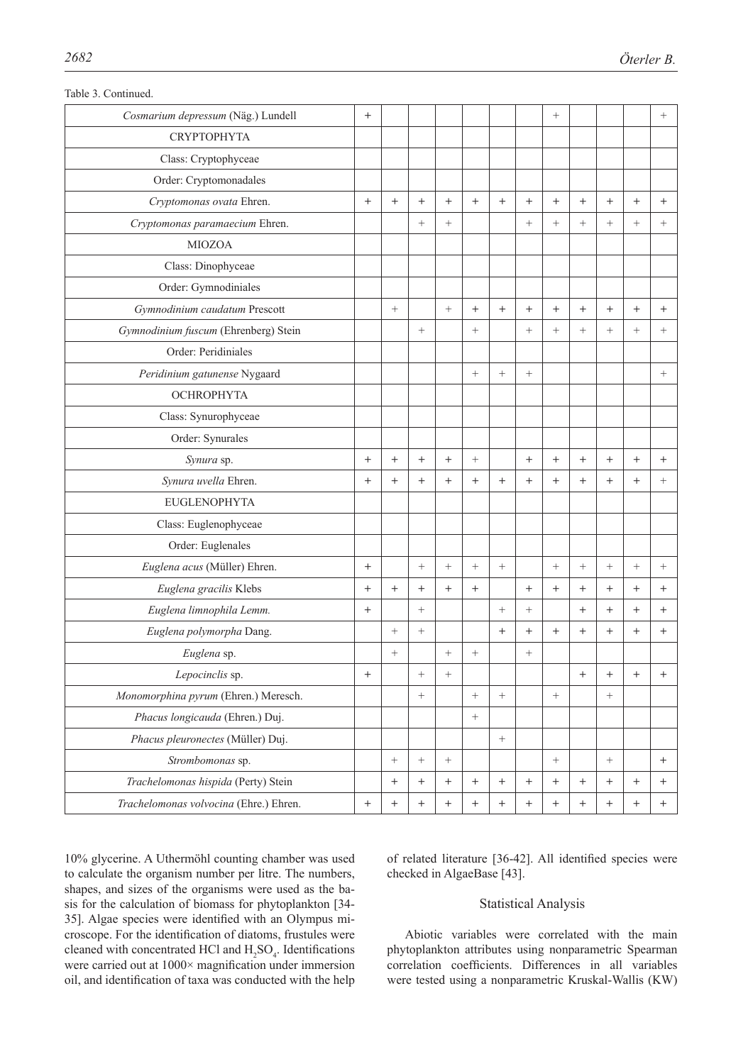| Cosmarium depressum (Näg.) Lundell     | $^{+}$           |                   |                 |                   |                   |                   |                  | $\! + \!\!\!\!$   |                  |                 |        | $^{+}$          |
|----------------------------------------|------------------|-------------------|-----------------|-------------------|-------------------|-------------------|------------------|-------------------|------------------|-----------------|--------|-----------------|
| <b>CRYPTOPHYTA</b>                     |                  |                   |                 |                   |                   |                   |                  |                   |                  |                 |        |                 |
| Class: Cryptophyceae                   |                  |                   |                 |                   |                   |                   |                  |                   |                  |                 |        |                 |
| Order: Cryptomonadales                 |                  |                   |                 |                   |                   |                   |                  |                   |                  |                 |        |                 |
| Cryptomonas ovata Ehren.               | $^{+}$           | $+$               | $+$             | $+$               | $+$               | $+$               | $^{+}$           | $^{+}$            | $^{+}$           | $^{+}$          | $^{+}$ | $+$             |
| Cryptomonas paramaecium Ehren.         |                  |                   | $+$             | $+$               |                   |                   | $+$              | $+$               | $^{+}$           | $^{+}$          | $+$    | $\! + \!\!\!\!$ |
| <b>MIOZOA</b>                          |                  |                   |                 |                   |                   |                   |                  |                   |                  |                 |        |                 |
| Class: Dinophyceae                     |                  |                   |                 |                   |                   |                   |                  |                   |                  |                 |        |                 |
| Order: Gymnodiniales                   |                  |                   |                 |                   |                   |                   |                  |                   |                  |                 |        |                 |
| Gymnodinium caudatum Prescott          |                  | $^{+}$            |                 | $+$               | $+$               | $^{+}$            | $^{+}$           | $^{+}$            | $^{+}$           | $^{+}$          | $^{+}$ | $+$             |
| Gymnodinium fuscum (Ehrenberg) Stein   |                  |                   | $+$             |                   | $^{+}$            |                   | $+$              | $\! + \!\!\!\!$   | $^{+}$           | $^{+}$          | $+$    | $^{+}$          |
| Order: Peridiniales                    |                  |                   |                 |                   |                   |                   |                  |                   |                  |                 |        |                 |
| Peridinium gatunense Nygaard           |                  |                   |                 |                   | $^{+}$            | $^{+}$            | $+$              |                   |                  |                 |        | $^{+}$          |
| <b>OCHROPHYTA</b>                      |                  |                   |                 |                   |                   |                   |                  |                   |                  |                 |        |                 |
| Class: Synurophyceae                   |                  |                   |                 |                   |                   |                   |                  |                   |                  |                 |        |                 |
| Order: Synurales                       |                  |                   |                 |                   |                   |                   |                  |                   |                  |                 |        |                 |
| Synura sp.                             | $+$              | $+$               | $+$             | $+$               | $\boldsymbol{+}$  |                   | $+$              | $+$               | $^{+}$           | $^{+}$          | $^{+}$ | $+$             |
| Synura uvella Ehren.                   | $^{+}$           | $^{+}$            | $^{+}$          | $^{+}$            | $^{+}$            | $+$               | $^{+}$           | $^{+}$            | $^{+}$           | $^{+}$          | $+$    | $^{+}$          |
| <b>EUGLENOPHYTA</b>                    |                  |                   |                 |                   |                   |                   |                  |                   |                  |                 |        |                 |
| Class: Euglenophyceae                  |                  |                   |                 |                   |                   |                   |                  |                   |                  |                 |        |                 |
| Order: Euglenales                      |                  |                   |                 |                   |                   |                   |                  |                   |                  |                 |        |                 |
| Euglena acus (Müller) Ehren.           | $^{+}$           |                   | $+$             | $+$               | $^{+}$            | $+$               |                  | $\! + \!\!\!\!$   | $^{+}$           | $^{+}$          | $+$    | $\! + \!\!\!\!$ |
| Euglena gracilis Klebs                 | $+$              | $^{+}$            | $+$             | $^{+}$            | $+$               |                   | $+$              | $+$               | $^{+}$           | $^{+}$          | $+$    | $+$             |
| Euglena limnophila Lemm.               | $^{+}$           |                   | $\! + \!\!\!\!$ |                   |                   | $^{+}$            | $\! + \!\!\!\!$  |                   | $^{+}$           | $^{+}$          | $^{+}$ | $^{+}$          |
| Euglena polymorpha Dang.               |                  | $^{+}$            | $\! + \!\!\!\!$ |                   |                   | $^{+}$            | $^{+}$           | $^{+}$            | $^{+}$           | $^{+}$          | $^{+}$ | $^{+}$          |
| Euglena sp.                            |                  | $^{+}$            |                 | $^{+}$            | $^{+}$            |                   | $^{+}$           |                   |                  |                 |        |                 |
| Lepocinclis sp.                        | $^{+}$           |                   | $^{+}$          | $\! + \!\!\!\!$   |                   |                   |                  |                   | $^{+}$           | $^{+}$          | $^{+}$ | $^{+}$          |
| Monomorphina pyrum (Ehren.) Meresch.   |                  |                   | $+$             |                   | $\qquad \qquad +$ | $\! + \!\!\!\!$   |                  | $\! + \!\!\!\!$   |                  | $\! + \!\!\!\!$ |        |                 |
| Phacus longicauda (Ehren.) Duj.        |                  |                   |                 |                   | $\boldsymbol{+}$  |                   |                  |                   |                  |                 |        |                 |
| Phacus pleuronectes (Müller) Duj.      |                  |                   |                 |                   |                   | $\! +$            |                  |                   |                  |                 |        |                 |
| Strombomonas sp.                       |                  | $^{+}$            | $+$             | $\qquad \qquad +$ |                   |                   |                  | $\qquad \qquad +$ |                  | $\! + \!\!\!\!$ |        | $^{+}$          |
| Trachelomonas hispida (Perty) Stein    |                  | $\qquad \qquad +$ | $^{+}$          | $^{+}$            | $\boldsymbol{+}$  | $\qquad \qquad +$ | $\boldsymbol{+}$ | $\boldsymbol{+}$  | $\! + \!\!\!\!$  | $\! + \!$       | $^{+}$ | $^{+}$          |
| Trachelomonas volvocina (Ehre.) Ehren. | $\boldsymbol{+}$ | $+$               | $^{+}$          | $^{+}$            | $\boldsymbol{+}$  | $^{+}$            | $\boldsymbol{+}$ | $\boldsymbol{+}$  | $\boldsymbol{+}$ |                 | $^{+}$ | $+$             |

Table 3. Continued.

10% glycerine. A Uthermöhl counting chamber was used to calculate the organism number per litre. The numbers, shapes, and sizes of the organisms were used as the basis for the calculation of biomass for phytoplankton [34- 35]. Algae species were identified with an Olympus microscope. For the identification of diatoms, frustules were cleaned with concentrated HCl and  $H_2SO_4$ . Identifications were carried out at 1000× magnification under immersion oil, and identification of taxa was conducted with the help

of related literature [36-42]. All identified species were checked in AlgaeBase [43].

# Statistical Analysis

Abiotic variables were correlated with the main phytoplankton attributes using nonparametric Spearman correlation coefficients. Differences in all variables were tested using a nonparametric Kruskal-Wallis (KW)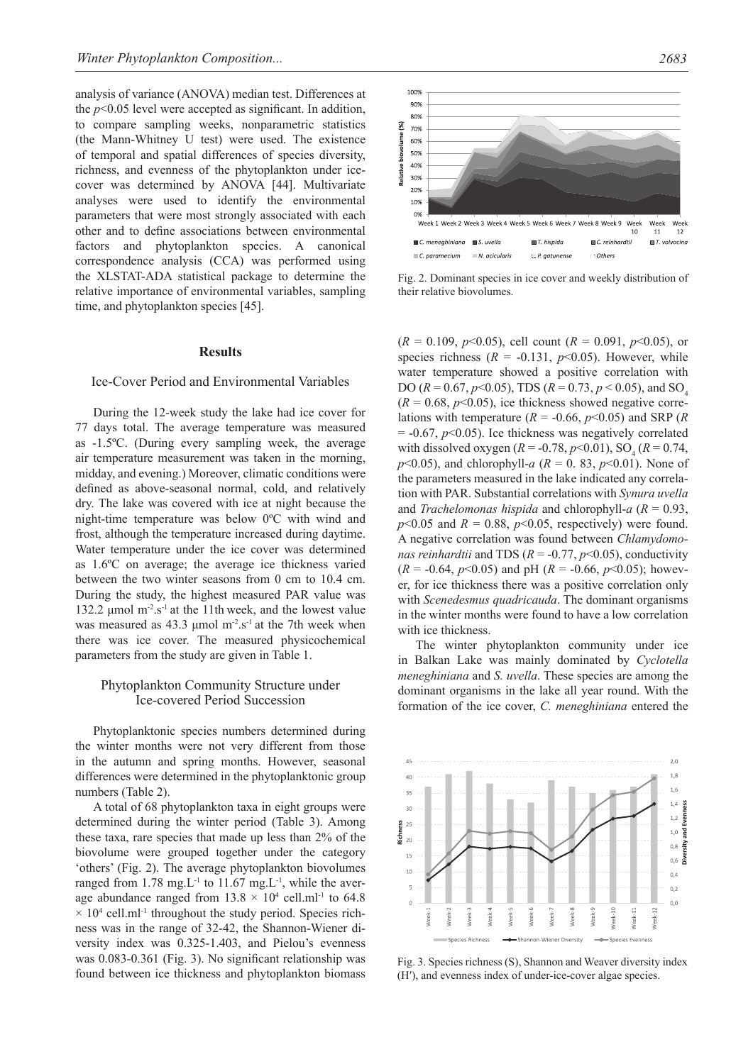analysis of variance (ANOVA) median test. Differences at the *p*<0.05 level were accepted as significant. In addition, to compare sampling weeks, nonparametric statistics (the Mann-Whitney U test) were used. The existence of temporal and spatial differences of species diversity, richness, and evenness of the phytoplankton under icecover was determined by ANOVA [44]. Multivariate analyses were used to identify the environmental parameters that were most strongly associated with each other and to define associations between environmental factors and phytoplankton species. A canonical correspondence analysis (CCA) was performed using the XLSTAT-ADA statistical package to determine the relative importance of environmental variables, sampling time, and phytoplankton species [45].

### **Results**

#### Ice-Cover Period and Environmental Variables

During the 12-week study the lake had ice cover for 77 days total. The average temperature was measured as -1.5ºC. (During every sampling week, the average air temperature measurement was taken in the morning, midday, and evening.) Moreover, climatic conditions were defined as above-seasonal normal, cold, and relatively dry. The lake was covered with ice at night because the night-time temperature was below 0ºC with wind and frost, although the temperature increased during daytime. Water temperature under the ice cover was determined as 1.6ºC on average; the average ice thickness varied between the two winter seasons from 0 cm to 10.4 cm. During the study, the highest measured PAR value was 132.2  $\mu$ mol m<sup>-2</sup>.s<sup>-1</sup> at the 11th week, and the lowest value was measured as  $43.3 \mu$ mol m<sup>-2</sup>.s<sup>-1</sup> at the 7th week when there was ice cover. The measured physicochemical parameters from the study are given in Table 1.

## Phytoplankton Community Structure under Ice-covered Period Succession

Phytoplanktonic species numbers determined during the winter months were not very different from those in the autumn and spring months. However, seasonal differences were determined in the phytoplanktonic group numbers (Table 2).

A total of 68 phytoplankton taxa in eight groups were determined during the winter period (Table 3). Among these taxa, rare species that made up less than 2% of the biovolume were grouped together under the category 'others' (Fig. 2). The average phytoplankton biovolumes ranged from  $1.78 \text{ mg} L^{-1}$  to  $11.67 \text{ mg} L^{-1}$ , while the average abundance ranged from  $13.8 \times 10^4$  cell.ml<sup>-1</sup> to 64.8  $\times$  10<sup>4</sup> cell.ml<sup>-1</sup> throughout the study period. Species richness was in the range of 32-42, the Shannon-Wiener diversity index was 0.325-1.403, and Pielou's evenness was 0.083-0.361 (Fig. 3). No significant relationship was found between ice thickness and phytoplankton biomass



56

ainvol

alative

 $C. *parameterum*$ 

 $M. acicularis$ 

Fig. 2. Dominant species in ice cover and weekly distribution of their relative biovolumes.

 $\Box$  P. aatunense

 $\therefore$  Other:

 $(R = 0.109, p<0.05)$ , cell count  $(R = 0.091, p<0.05)$ , or species richness  $(R = -0.131, p<0.05)$ . However, while water temperature showed a positive correlation with DO ( $R = 0.67$ ,  $p < 0.05$ ), TDS ( $R = 0.73$ ,  $p < 0.05$ ), and SO<sub>4</sub>  $(R = 0.68, p < 0.05)$ , ice thickness showed negative correlations with temperature  $(R = -0.66, p < 0.05)$  and SRP  $(R$  $= -0.67$ ,  $p<0.05$ ). Ice thickness was negatively correlated with dissolved oxygen ( $R = -0.78$ ,  $p < 0.01$ ), SO<sub>4</sub> ( $R = 0.74$ , *p*<0.05), and chlorophyll-*a* ( $R = 0.83$ ,  $p$ <0.01). None of the parameters measured in the lake indicated any correlation with PAR. Substantial correlations with *Synura uvella*  and *Trachelomonas hispida* and chlorophyll-*a* (*R* = 0.93,  $p$ <0.05 and  $R = 0.88$ ,  $p$ <0.05, respectively) were found. A negative correlation was found between *Chlamydomonas reinhardtii* and TDS ( $R = -0.77$ ,  $p < 0.05$ ), conductivity  $(R = -0.64, p < 0.05)$  and pH  $(R = -0.66, p < 0.05)$ ; however, for ice thickness there was a positive correlation only with *Scenedesmus quadricauda*. The dominant organisms in the winter months were found to have a low correlation with ice thickness.

The winter phytoplankton community under ice in Balkan Lake was mainly dominated by *Cyclotella meneghiniana* and *S. uvella*. These species are among the dominant organisms in the lake all year round. With the formation of the ice cover, *C. meneghiniana* entered the



Fig. 3. Species richness (S), Shannon and Weaver diversity index (H′), and evenness index of under-ice-cover algae species.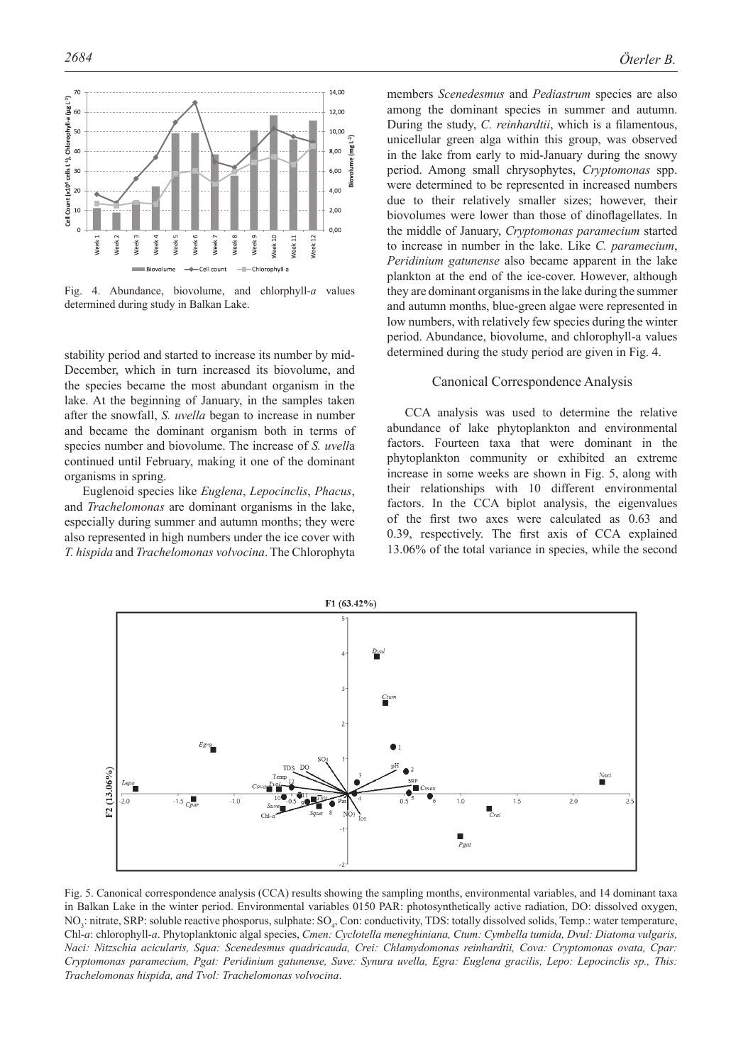

Fig. 4. Abundance, biovolume, and chlorphyll-*a* values determined during study in Balkan Lake.

stability period and started to increase its number by mid-December, which in turn increased its biovolume, and the species became the most abundant organism in the lake. At the beginning of January, in the samples taken after the snowfall, *S. uvella* began to increase in number and became the dominant organism both in terms of species number and biovolume. The increase of *S. uvell*a continued until February, making it one of the dominant organisms in spring.

Euglenoid species like *Euglena*, *Lepocinclis*, *Phacus*, and *Trachelomonas* are dominant organisms in the lake, especially during summer and autumn months; they were also represented in high numbers under the ice cover with *T. hispida* and *Trachelomonas volvocina*. The Chlorophyta among the dominant species in summer and autumn. During the study, *C. reinhardtii*, which is a filamentous, unicellular green alga within this group, was observed in the lake from early to mid-January during the snowy period. Among small chrysophytes, *Cryptomonas* spp. were determined to be represented in increased numbers due to their relatively smaller sizes; however, their biovolumes were lower than those of dinoflagellates. In the middle of January, *Cryptomonas paramecium* started to increase in number in the lake. Like *C. paramecium*, *Peridinium gatunense* also became apparent in the lake plankton at the end of the ice-cover. However, although they are dominant organisms in the lake during the summer and autumn months, blue-green algae were represented in low numbers, with relatively few species during the winter period. Abundance, biovolume, and chlorophyll-a values determined during the study period are given in Fig. 4.

#### Canonical Correspondence Analysis

CCA analysis was used to determine the relative abundance of lake phytoplankton and environmental factors. Fourteen taxa that were dominant in the phytoplankton community or exhibited an extreme increase in some weeks are shown in Fig. 5, along with their relationships with 10 different environmental factors. In the CCA biplot analysis, the eigenvalues of the first two axes were calculated as 0.63 and 0.39, respectively. The first axis of CCA explained 13.06% of the total variance in species, while the second



Fig. 5. Canonical correspondence analysis (CCA) results showing the sampling months, environmental variables, and 14 dominant taxa in Balkan Lake in the winter period. Environmental variables 0150 PAR: photosynthetically active radiation, DO: dissolved oxygen, NO<sub>3</sub>: nitrate, SRP: soluble reactive phosporus, sulphate: SO<sub>4</sub>, Con: conductivity, TDS: totally dissolved solids, Temp.: water temperature, Chl-*a*: chlorophyll-*a*. Phytoplanktonic algal species, *Cmen: Cyclotella meneghiniana, Ctum: Cymbella tumida, Dvul: Diatoma vulgaris, Naci: Nitzschia acicularis, Squa: Scenedesmus quadricauda, Crei: Chlamydomonas reinhardtii, Cova: Cryptomonas ovata, Cpar: Cryptomonas paramecium, Pgat: Peridinium gatunense, Suve: Synura uvella, Egra: Euglena gracilis, Lepo: Lepocinclis sp., This: Trachelomonas hispida, and Tvol: Trachelomonas volvocina*.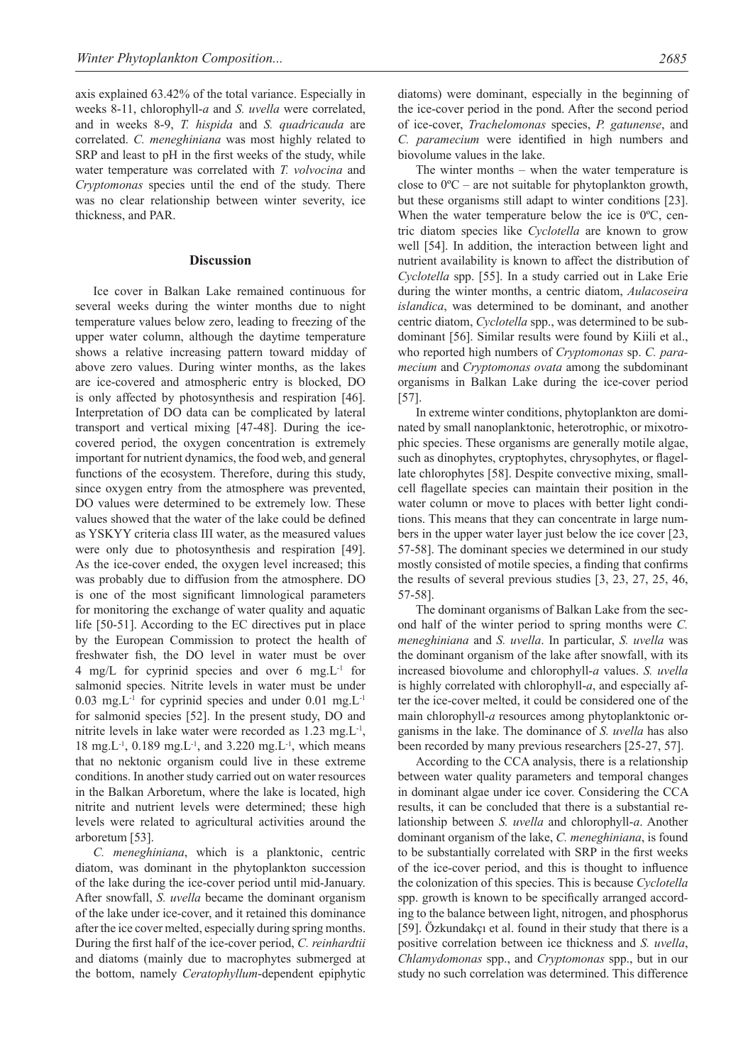axis explained 63.42% of the total variance. Especially in weeks 8-11, chlorophyll-*a* and *S. uvella* were correlated, and in weeks 8-9, *T. hispida* and *S. quadricauda* are correlated. *C. meneghiniana* was most highly related to SRP and least to pH in the first weeks of the study, while water temperature was correlated with *T. volvocina* and *Cryptomonas* species until the end of the study. There was no clear relationship between winter severity, ice thickness, and PAR.

#### **Discussion**

Ice cover in Balkan Lake remained continuous for several weeks during the winter months due to night temperature values below zero, leading to freezing of the upper water column, although the daytime temperature shows a relative increasing pattern toward midday of above zero values. During winter months, as the lakes are ice-covered and atmospheric entry is blocked, DO is only affected by photosynthesis and respiration [46]. Interpretation of DO data can be complicated by lateral transport and vertical mixing [47-48]. During the icecovered period, the oxygen concentration is extremely important for nutrient dynamics, the food web, and general functions of the ecosystem. Therefore, during this study, since oxygen entry from the atmosphere was prevented, DO values were determined to be extremely low. These values showed that the water of the lake could be defined as YSKYY criteria class III water, as the measured values were only due to photosynthesis and respiration [49]. As the ice-cover ended, the oxygen level increased; this was probably due to diffusion from the atmosphere. DO is one of the most significant limnological parameters for monitoring the exchange of water quality and aquatic life [50-51]. According to the EC directives put in place by the European Commission to protect the health of freshwater fish, the DO level in water must be over 4 mg/L for cyprinid species and over 6 mg. $L^{-1}$  for salmonid species. Nitrite levels in water must be under  $0.03$  mg. L<sup>-1</sup> for cyprinid species and under  $0.01$  mg. L<sup>-1</sup> for salmonid species [52]. In the present study, DO and nitrite levels in lake water were recorded as 1.23 mg.L-1, 18 mg. L<sup>-1</sup>, 0.189 mg. L<sup>-1</sup>, and 3.220 mg. L<sup>-1</sup>, which means that no nektonic organism could live in these extreme conditions. In another study carried out on water resources in the Balkan Arboretum, where the lake is located, high nitrite and nutrient levels were determined; these high levels were related to agricultural activities around the arboretum [53].

*C. meneghiniana*, which is a planktonic, centric diatom, was dominant in the phytoplankton succession of the lake during the ice-cover period until mid-January. After snowfall, *S. uvella* became the dominant organism of the lake under ice-cover, and it retained this dominance after the ice cover melted, especially during spring months. During the first half of the ice-cover period, *C. reinhardtii* and diatoms (mainly due to macrophytes submerged at the bottom, namely *Ceratophyllum*-dependent epiphytic diatoms) were dominant, especially in the beginning of the ice-cover period in the pond. After the second period of ice-cover, *Trachelomonas* species, *P. gatunense*, and *C. paramecium* were identified in high numbers and biovolume values in the lake.

The winter months – when the water temperature is close to 0ºC – are not suitable for phytoplankton growth, but these organisms still adapt to winter conditions [23]. When the water temperature below the ice is 0<sup>o</sup>C, centric diatom species like *Cyclotella* are known to grow well [54]. In addition, the interaction between light and nutrient availability is known to affect the distribution of *Cyclotella* spp. [55]. In a study carried out in Lake Erie during the winter months, a centric diatom, *Aulacoseira islandica*, was determined to be dominant, and another centric diatom, *Cyclotella* spp., was determined to be subdominant [56]. Similar results were found by Kiili et al., who reported high numbers of *Cryptomonas* sp. *C. paramecium* and *Cryptomonas ovata* among the subdominant organisms in Balkan Lake during the ice-cover period [57].

In extreme winter conditions, phytoplankton are dominated by small nanoplanktonic, heterotrophic, or mixotrophic species. These organisms are generally motile algae, such as dinophytes, cryptophytes, chrysophytes, or flagellate chlorophytes [58]. Despite convective mixing, smallcell flagellate species can maintain their position in the water column or move to places with better light conditions. This means that they can concentrate in large numbers in the upper water layer just below the ice cover [23, 57-58]. The dominant species we determined in our study mostly consisted of motile species, a finding that confirms the results of several previous studies [3, 23, 27, 25, 46, 57-58].

The dominant organisms of Balkan Lake from the second half of the winter period to spring months were *C. meneghiniana* and *S. uvella*. In particular, *S. uvella* was the dominant organism of the lake after snowfall, with its increased biovolume and chlorophyll-*a* values. *S. uvella* is highly correlated with chlorophyll-*a*, and especially after the ice-cover melted, it could be considered one of the main chlorophyll-*a* resources among phytoplanktonic organisms in the lake. The dominance of *S. uvella* has also been recorded by many previous researchers [25-27, 57].

According to the CCA analysis, there is a relationship between water quality parameters and temporal changes in dominant algae under ice cover. Considering the CCA results, it can be concluded that there is a substantial relationship between *S. uvella* and chlorophyll-*a*. Another dominant organism of the lake, *C. meneghiniana*, is found to be substantially correlated with SRP in the first weeks of the ice-cover period, and this is thought to influence the colonization of this species. This is because *Cyclotella* spp. growth is known to be specifically arranged according to the balance between light, nitrogen, and phosphorus [59]. Özkundakçı et al. found in their study that there is a positive correlation between ice thickness and *S. uvella*, *Chlamydomonas* spp., and *Cryptomonas* spp., but in our study no such correlation was determined. This difference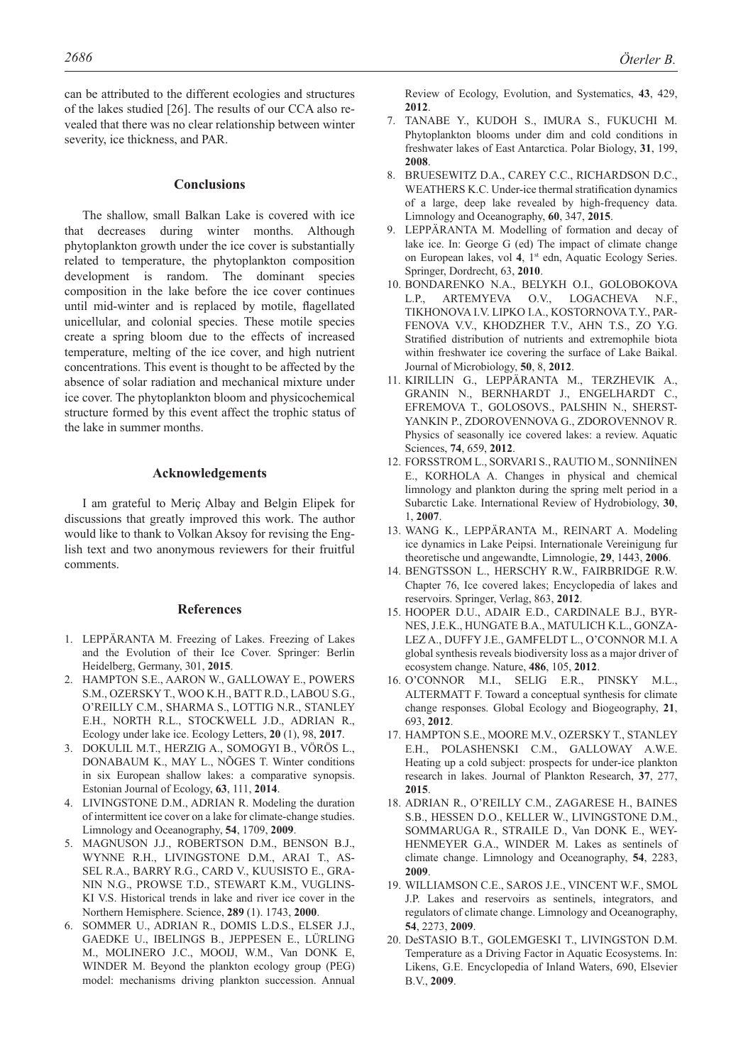can be attributed to the different ecologies and structures of the lakes studied [26]. The results of our CCA also revealed that there was no clear relationship between winter severity, ice thickness, and PAR.

#### **Conclusions**

The shallow, small Balkan Lake is covered with ice that decreases during winter months. Although phytoplankton growth under the ice cover is substantially related to temperature, the phytoplankton composition development is random. The dominant species composition in the lake before the ice cover continues until mid-winter and is replaced by motile, flagellated unicellular, and colonial species. These motile species create a spring bloom due to the effects of increased temperature, melting of the ice cover, and high nutrient concentrations. This event is thought to be affected by the absence of solar radiation and mechanical mixture under ice cover. The phytoplankton bloom and physicochemical structure formed by this event affect the trophic status of the lake in summer months.

#### **Acknowledgements**

I am grateful to Meriç Albay and Belgin Elipek for discussions that greatly improved this work. The author would like to thank to Volkan Aksoy for revising the English text and two anonymous reviewers for their fruitful comments.

#### **References**

- 1. LEPPÄRANTA M. Freezing of Lakes. Freezing of Lakes and the Evolution of their Ice Cover. Springer: Berlin Heidelberg, Germany, 301, **2015**.
- 2. HAMPTON S.E., AARON W., GALLOWAY E., POWERS S.M., OZERSKY T., WOO K.H., BATT R.D., LABOU S.G., O'REILLY C.M., SHARMA S., LOTTIG N.R., STANLEY E.H., NORTH R.L., STOCKWELL J.D., ADRIAN R., Ecology under lake ice. Ecology Letters, **20** (1), 98, **2017**.
- 3. DOKULIL M.T., HERZIG A., SOMOGYI B., VÖRÖS L., DONABAUM K., MAY L., NÕGES T. Winter conditions in six European shallow lakes: a comparative synopsis. Estonian Journal of Ecology, **63**, 111, **2014**.
- 4. LIVINGSTONE D.M., ADRIAN R. Modeling the duration of intermittent ice cover on a lake for climate-change studies. Limnology and Oceanography, **54**, 1709, **2009**.
- 5. MAGNUSON J.J., ROBERTSON D.M., BENSON B.J., WYNNE R.H., LIVINGSTONE D.M., ARAI T., AS-SEL R.A., BARRY R.G., CARD V., KUUSISTO E., GRA-NIN N.G., PROWSE T.D., STEWART K.M., VUGLINS-KI V.S. Historical trends in lake and river ice cover in the Northern Hemisphere. Science, **289** (1). 1743, **2000**.
- 6. SOMMER U., ADRIAN R., DOMIS L.D.S., ELSER J.J., GAEDKE U., IBELINGS B., JEPPESEN E., LÜRLING M., MOLINERO J.C., MOOIJ, W.M., Van DONK E, WINDER M. Beyond the plankton ecology group (PEG) model: mechanisms driving plankton succession. Annual

Review of Ecology, Evolution, and Systematics, **43**, 429, **2012**.

- 7. TANABE Y., KUDOH S., IMURA S., FUKUCHI M. Phytoplankton blooms under dim and cold conditions in freshwater lakes of East Antarctica. Polar Biology, **31**, 199, **2008**.
- 8. BRUESEWITZ D.A., CAREY C.C., RICHARDSON D.C., WEATHERS K.C. Under-ice thermal stratification dynamics of a large, deep lake revealed by high-frequency data. Limnology and Oceanography, **60**, 347, **2015**.
- 9. LEPPÄRANTA M. Modelling of formation and decay of lake ice. In: George G (ed) The impact of climate change on European lakes, vol **4**, 1st edn, Aquatic Ecology Series. Springer, Dordrecht, 63, **2010**.
- 10. BONDARENKO N.A., BELYKH O.I., GOLOBOKOVA L.P., ARTEMYEVA O.V., LOGACHEVA N.F., TIKHONOVA I.V. LIPKO I.A., KOSTORNOVA T.Y., PAR-FENOVA V.V., KHODZHER T.V., AHN T.S., ZO Y.G. Stratified distribution of nutrients and extremophile biota within freshwater ice covering the surface of Lake Baikal. Journal of Microbiology, **50**, 8, **2012**.
- 11. KIRILLIN G., LEPPÄRANTA M., TERZHEVIK A., GRANIN N., BERNHARDT J., ENGELHARDT C., EFREMOVA T., GOLOSOVS., PALSHIN N., SHERST-YANKIN P., ZDOROVENNOVA G., ZDOROVENNOV R. Physics of seasonally ice covered lakes: a review. Aquatic Sciences, **74**, 659, **2012**.
- 12. FORSSTROM L., SORVARI S., RAUTIO M., SONNIİNEN E., KORHOLA A. Changes in physical and chemical limnology and plankton during the spring melt period in a Subarctic Lake. International Review of Hydrobiology, **30**, 1, **2007**.
- 13. WANG K., LEPPÄRANTA M., REINART A. Modeling ice dynamics in Lake Peipsi. Internationale Vereinigung fur theoretische und angewandte, Limnologie, **29**, 1443, **2006**.
- 14. BENGTSSON L., HERSCHY R.W., FAIRBRIDGE R.W. Chapter 76, Ice covered lakes; Encyclopedia of lakes and reservoirs. Springer, Verlag, 863, **2012**.
- 15. HOOPER D.U., ADAIR E.D., CARDINALE B.J., BYR-NES, J.E.K., HUNGATE B.A., MATULICH K.L., GONZA-LEZ A., DUFFY J.E., GAMFELDT L., O'CONNOR M.I. A global synthesis reveals biodiversity loss as a major driver of ecosystem change. Nature, **486**, 105, **2012**.
- 16. O'CONNOR M.I., SELIG E.R., PINSKY M.L., ALTERMATT F. Toward a conceptual synthesis for climate change responses. Global Ecology and Biogeography, **21**, 693, **2012**.
- 17. HAMPTON S.E., MOORE M.V., OZERSKY T., STANLEY E.H., POLASHENSKI C.M., GALLOWAY A.W.E. Heating up a cold subject: prospects for under-ice plankton research in lakes. Journal of Plankton Research, **37**, 277, **2015**.
- 18. ADRIAN R., O'REILLY C.M., ZAGARESE H., BAINES S.B., HESSEN D.O., KELLER W., LIVINGSTONE D.M., SOMMARUGA R., STRAILE D., Van DONK E., WEY-HENMEYER G.A., WINDER M. Lakes as sentinels of climate change. Limnology and Oceanography, **54**, 2283, **2009**.
- 19. WILLIAMSON C.E., SAROS J.E., VINCENT W.F., SMOL J.P. Lakes and reservoirs as sentinels, integrators, and regulators of climate change. Limnology and Oceanography, **54**, 2273, **2009**.
- 20. DeSTASIO B.T., GOLEMGESKI T., LIVINGSTON D.M. Temperature as a Driving Factor in Aquatic Ecosystems. In: Likens, G.E. Encyclopedia of Inland Waters, 690, Elsevier B.V., **2009**.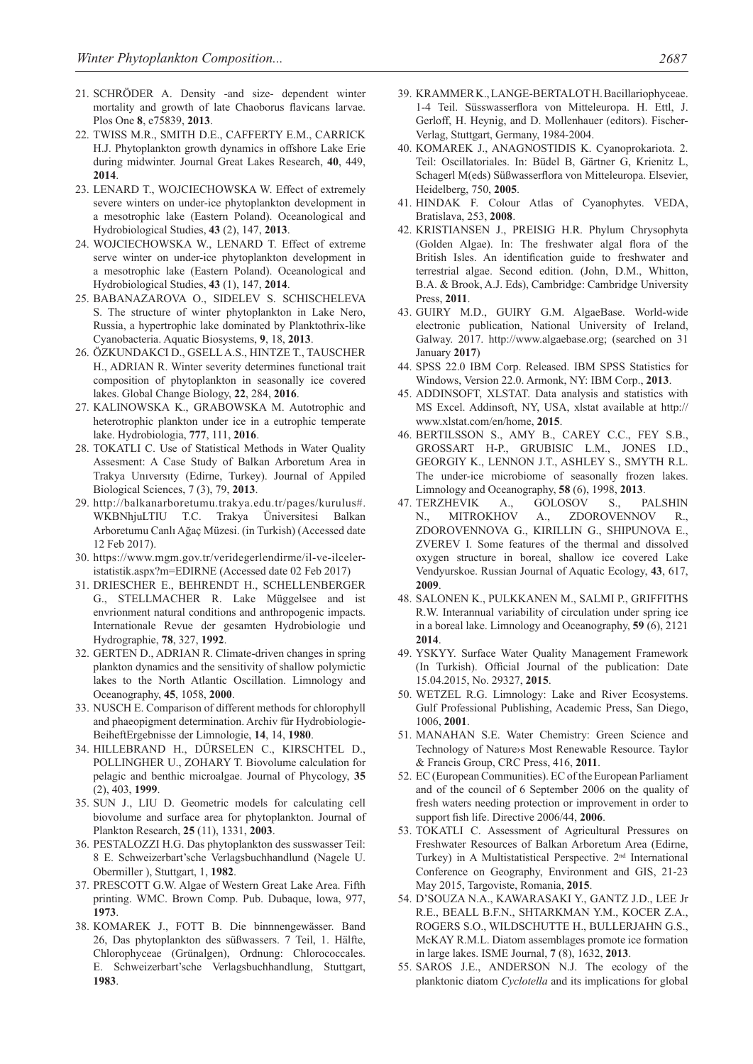- 21. SCHRÖDER A. Density -and size- dependent winter mortality and growth of late Chaoborus flavicans larvae. Plos One **8**, e75839, **2013**.
- 22. TWISS M.R., SMITH D.E., CAFFERTY E.M., CARRICK H.J. Phytoplankton growth dynamics in offshore Lake Erie during midwinter. Journal Great Lakes Research, **40**, 449, **2014**.
- 23. LENARD T., WOJCIECHOWSKA W. Effect of extremely severe winters on under-ice phytoplankton development in a mesotrophic lake (Eastern Poland). Oceanological and Hydrobiological Studies, **43** (2), 147, **2013**.
- 24. WOJCIECHOWSKA W., LENARD T. Effect of extreme serve winter on under-ice phytoplankton development in a mesotrophic lake (Eastern Poland). Oceanological and Hydrobiological Studies, **43** (1), 147, **2014**.
- 25. BABANAZAROVA O., SIDELEV S. SCHISCHELEVA S. The structure of winter phytoplankton in Lake Nero, Russia, a hypertrophic lake dominated by Planktothrix-like Cyanobacteria. Aquatic Biosystems, **9**, 18, **2013**.
- 26. ÖZKUNDAKCI D., GSELL A.S., HINTZE T., TAUSCHER H., ADRIAN R. Winter severity determines functional trait composition of phytoplankton in seasonally ice covered lakes. Global Change Biology, **22**, 284, **2016**.
- 27. KALINOWSKA K., GRABOWSKA M. Autotrophic and heterotrophic plankton under ice in a eutrophic temperate lake. Hydrobiologia, **777**, 111, **2016**.
- 28. TOKATLI C. Use of Statistical Methods in Water Quality Assesment: A Case Study of Balkan Arboretum Area in Trakya Unıversıty (Edirne, Turkey). Journal of Appiled Biological Sciences, 7 (3), 79, **2013**.
- 29. http://balkanarboretumu.trakya.edu.tr/pages/kurulus#. WKBNhjuLTIU T.C. Trakya Üniversitesi Balkan Arboretumu Canlı Ağaç Müzesi. (in Turkish) (Accessed date 12 Feb 2017).
- 30. https://www.mgm.gov.tr/veridegerlendirme/il-ve-ilceleristatistik.aspx?m=EDIRNE (Accessed date 02 Feb 2017)
- 31. DRIESCHER E., BEHRENDT H., SCHELLENBERGER G., STELLMACHER R. Lake Müggelsee and ist envrionment natural conditions and anthropogenic impacts. Internationale Revue der gesamten Hydrobiologie und Hydrographie, **78**, 327, **1992**.
- 32. GERTEN D., ADRIAN R. Climate-driven changes in spring plankton dynamics and the sensitivity of shallow polymictic lakes to the North Atlantic Oscillation. Limnology and Oceanography, **45**, 1058, **2000**.
- 33. NUSCH E. Comparison of different methods for chlorophyll and phaeopigment determination. Archiv für Hydrobiologie-BeiheftErgebnisse der Limnologie, **14**, 14, **1980**.
- 34. HILLEBRAND H., DÜRSELEN C., KIRSCHTEL D., POLLINGHER U., ZOHARY T. Biovolume calculation for pelagic and benthic microalgae. Journal of Phycology, **35** (2), 403, **1999**.
- 35. SUN J., LIU D. Geometric models for calculating cell biovolume and surface area for phytoplankton. Journal of Plankton Research, **25** (11), 1331, **2003**.
- 36. PESTALOZZI H.G. Das phytoplankton des susswasser Teil: 8 E. Schweizerbart'sche Verlagsbuchhandlund (Nagele U. Obermiller ), Stuttgart, 1, **1982**.
- 37. PRESCOTT G.W. Algae of Western Great Lake Area. Fifth printing. WMC. Brown Comp. Pub. Dubaque, lowa, 977, **1973**.
- 38. KOMAREK J., FOTT B. Die binnnengewässer. Band 26, Das phytoplankton des süßwassers. 7 Teil, 1. Hälfte, Chlorophyceae (Grünalgen), Ordnung: Chlorococcales. E. Schweizerbart'sche Verlagsbuchhandlung, Stuttgart, **1983**.
- 39. KRAMMER K., LANGE-BERTALOT H. Bacillariophyceae. 1-4 Teil. Süsswasserflora von Mitteleuropa. H. Ettl, J. Gerloff, H. Heynig, and D. Mollenhauer (editors). Fischer-Verlag, Stuttgart, Germany, 1984-2004.
- 40. KOMAREK J., ANAGNOSTIDIS K. Cyanoprokariota. 2. Teil: Oscillatoriales. In: Büdel B, Gärtner G, Krienitz L, Schagerl M(eds) Süßwasserflora von Mitteleuropa. Elsevier, Heidelberg, 750, **2005**.
- 41. HINDAK F. Colour Atlas of Cyanophytes. VEDA, Bratislava, 253, **2008**.
- 42. KRISTIANSEN J., PREISIG H.R. Phylum Chrysophyta (Golden Algae). In: The freshwater algal flora of the British Isles. An identification guide to freshwater and terrestrial algae. Second edition. (John, D.M., Whitton, B.A. & Brook, A.J. Eds), Cambridge: Cambridge University Press, **2011**.
- 43. GUIRY M.D., GUIRY G.M. AlgaeBase. World-wide electronic publication, National University of Ireland, Galway. 2017. http://www.algaebase.org; (searched on 31 January **2017**)
- 44. SPSS 22.0 IBM Corp. Released. IBM SPSS Statistics for Windows, Version 22.0. Armonk, NY: IBM Corp., **2013**.
- 45. ADDINSOFT, XLSTAT. Data analysis and statistics with MS Excel. Addinsoft, NY, USA, xlstat available at http:// www.xlstat.com/en/home, **2015**.
- 46. BERTILSSON S., AMY B., CAREY C.C., FEY S.B., GROSSART H-P., GRUBISIC L.M., JONES I.D., GEORGIY K., LENNON J.T., ASHLEY S., SMYTH R.L. The under-ice microbiome of seasonally frozen lakes. Limnology and Oceanography, **58** (6), 1998, **2013**.
- 47. TERZHEVIK A., GOLOSOV S., PALSHIN N., MITROKHOV A., ZDOROVENNOV R., ZDOROVENNOVA G., KIRILLIN G., SHIPUNOVA E., ZVEREV I. Some features of the thermal and dissolved oxygen structure in boreal, shallow ice covered Lake Vendyurskoe. Russian Journal of Aquatic Ecology, **43**, 617, **2009**.
- 48. SALONEN K., PULKKANEN M., SALMI P., GRIFFITHS R.W. Interannual variability of circulation under spring ice in a boreal lake. Limnology and Oceanography, **59** (6), 2121 **2014**.
- 49. YSKYY. Surface Water Quality Management Framework (In Turkish). Official Journal of the publication: Date 15.04.2015, No. 29327, **2015**.
- 50. WETZEL R.G. Limnology: Lake and River Ecosystems. Gulf Professional Publishing, Academic Press, San Diego, 1006, **2001**.
- 51. MANAHAN S.E. Water Chemistry: Green Science and Technology of Nature›s Most Renewable Resource. Taylor & Francis Group, CRC Press, 416, **2011**.
- 52. EC (European Communities). EC of the European Parliament and of the council of 6 September 2006 on the quality of fresh waters needing protection or improvement in order to support fish life. Directive 2006/44, **2006**.
- 53. TOKATLI C. Assessment of Agricultural Pressures on Freshwater Resources of Balkan Arboretum Area (Edirne, Turkey) in A Multistatistical Perspective. 2nd International Conference on Geography, Environment and GIS, 21-23 May 2015, Targoviste, Romania, **2015**.
- 54. D'SOUZA N.A., KAWARASAKI Y., GANTZ J.D., LEE Jr R.E., BEALL B.F.N., SHTARKMAN Y.M., KOCER Z.A., ROGERS S.O., WILDSCHUTTE H., BULLERJAHN G.S., McKAY R.M.L. Diatom assemblages promote ice formation in large lakes. ISME Journal, **7** (8), 1632, **2013**.
- 55. SAROS J.E., ANDERSON N.J. The ecology of the planktonic diatom *Cyclotella* and its implications for global